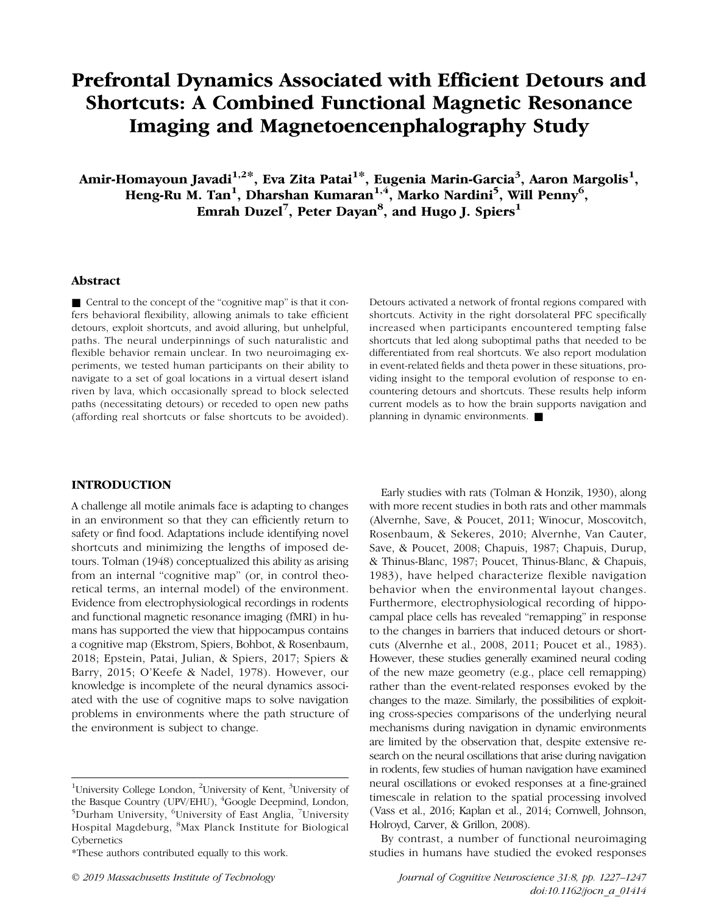# Prefrontal Dynamics Associated with Efficient Detours and Shortcuts: A Combined Functional Magnetic Resonance Imaging and Magnetoencenphalography Study

Amir-Homayoun Javadi $^{1,2\ast},$  Eva Zita Patai $^{1\ast},$  Eugenia Marin-Garcia $^3,$  Aaron Margolis $^1,$ Heng-Ru M. Tan<sup>1</sup>, Dharshan Kumaran<sup>1,4</sup>, Marko Nardini<sup>5</sup>, Will Penny<sup>6</sup>, Emrah Duzel<sup>7</sup>, Peter Dayan $^8$ , and Hugo J. Spiers $^1$ 

## Abstract

■ Central to the concept of the "cognitive map" is that it confers behavioral flexibility, allowing animals to take efficient detours, exploit shortcuts, and avoid alluring, but unhelpful, paths. The neural underpinnings of such naturalistic and flexible behavior remain unclear. In two neuroimaging experiments, we tested human participants on their ability to navigate to a set of goal locations in a virtual desert island riven by lava, which occasionally spread to block selected paths (necessitating detours) or receded to open new paths (affording real shortcuts or false shortcuts to be avoided).

Detours activated a network of frontal regions compared with shortcuts. Activity in the right dorsolateral PFC specifically increased when participants encountered tempting false shortcuts that led along suboptimal paths that needed to be differentiated from real shortcuts. We also report modulation in event-related fields and theta power in these situations, providing insight to the temporal evolution of response to encountering detours and shortcuts. These results help inform current models as to how the brain supports navigation and planning in dynamic environments. ■

## INTRODUCTION

A challenge all motile animals face is adapting to changes in an environment so that they can efficiently return to safety or find food. Adaptations include identifying novel shortcuts and minimizing the lengths of imposed detours. Tolman (1948) conceptualized this ability as arising from an internal "cognitive map" (or, in control theoretical terms, an internal model) of the environment. Evidence from electrophysiological recordings in rodents and functional magnetic resonance imaging (fMRI) in humans has supported the view that hippocampus contains a cognitive map (Ekstrom, Spiers, Bohbot, & Rosenbaum, 2018; Epstein, Patai, Julian, & Spiers, 2017; Spiers & Barry, 2015; O'Keefe & Nadel, 1978). However, our knowledge is incomplete of the neural dynamics associated with the use of cognitive maps to solve navigation problems in environments where the path structure of the environment is subject to change.

Early studies with rats (Tolman & Honzik, 1930), along with more recent studies in both rats and other mammals (Alvernhe, Save, & Poucet, 2011; Winocur, Moscovitch, Rosenbaum, & Sekeres, 2010; Alvernhe, Van Cauter, Save, & Poucet, 2008; Chapuis, 1987; Chapuis, Durup, & Thinus-Blanc, 1987; Poucet, Thinus-Blanc, & Chapuis, 1983), have helped characterize flexible navigation behavior when the environmental layout changes. Furthermore, electrophysiological recording of hippocampal place cells has revealed "remapping" in response to the changes in barriers that induced detours or shortcuts (Alvernhe et al., 2008, 2011; Poucet et al., 1983). However, these studies generally examined neural coding of the new maze geometry (e.g., place cell remapping) rather than the event-related responses evoked by the changes to the maze. Similarly, the possibilities of exploiting cross-species comparisons of the underlying neural mechanisms during navigation in dynamic environments are limited by the observation that, despite extensive research on the neural oscillations that arise during navigation in rodents, few studies of human navigation have examined neural oscillations or evoked responses at a fine-grained timescale in relation to the spatial processing involved (Vass et al., 2016; Kaplan et al., 2014; Cornwell, Johnson, Holroyd, Carver, & Grillon, 2008).

By contrast, a number of functional neuroimaging studies in humans have studied the evoked responses

<sup>&</sup>lt;sup>1</sup>University College London, <sup>2</sup>University of Kent, <sup>3</sup>University of the Basque Country (UPV/EHU), <sup>4</sup>Google Deepmind, London, Durham University, <sup>6</sup>University of East Anglia, <sup>7</sup>University Hospital Magdeburg, <sup>8</sup>Max Planck Institute for Biological Cybernetics

<sup>\*</sup>These authors contributed equally to this work.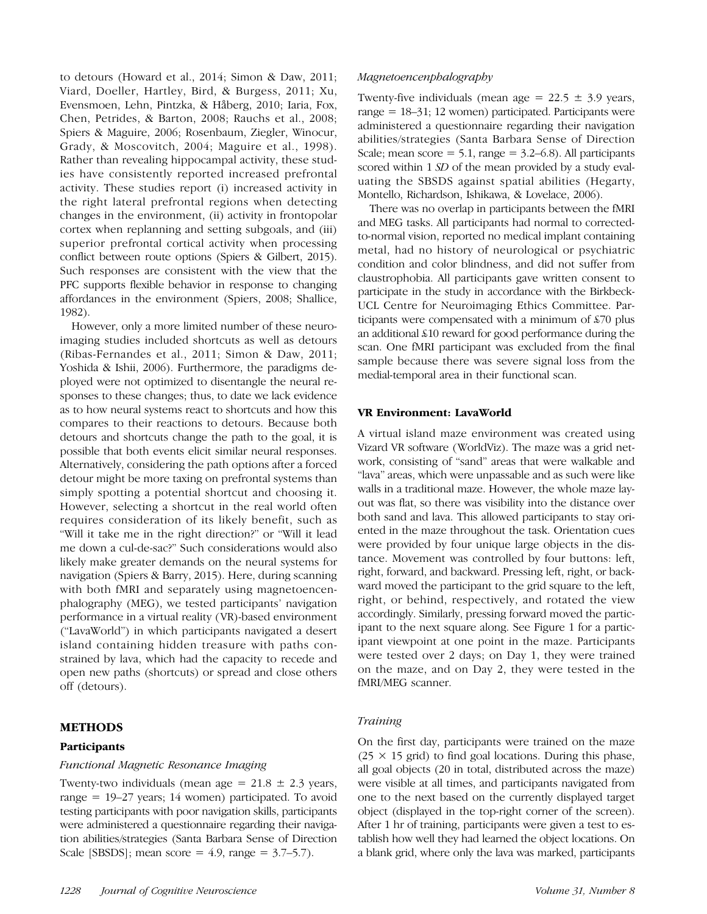to detours (Howard et al., 2014; Simon & Daw, 2011; Viard, Doeller, Hartley, Bird, & Burgess, 2011; Xu, Evensmoen, Lehn, Pintzka, & Håberg, 2010; Iaria, Fox, Chen, Petrides, & Barton, 2008; Rauchs et al., 2008; Spiers & Maguire, 2006; Rosenbaum, Ziegler, Winocur, Grady, & Moscovitch, 2004; Maguire et al., 1998). Rather than revealing hippocampal activity, these studies have consistently reported increased prefrontal activity. These studies report (i) increased activity in the right lateral prefrontal regions when detecting changes in the environment, (ii) activity in frontopolar cortex when replanning and setting subgoals, and (iii) superior prefrontal cortical activity when processing conflict between route options (Spiers & Gilbert, 2015). Such responses are consistent with the view that the PFC supports flexible behavior in response to changing affordances in the environment (Spiers, 2008; Shallice, 1982).

However, only a more limited number of these neuroimaging studies included shortcuts as well as detours (Ribas-Fernandes et al., 2011; Simon & Daw, 2011; Yoshida & Ishii, 2006). Furthermore, the paradigms deployed were not optimized to disentangle the neural responses to these changes; thus, to date we lack evidence as to how neural systems react to shortcuts and how this compares to their reactions to detours. Because both detours and shortcuts change the path to the goal, it is possible that both events elicit similar neural responses. Alternatively, considering the path options after a forced detour might be more taxing on prefrontal systems than simply spotting a potential shortcut and choosing it. However, selecting a shortcut in the real world often requires consideration of its likely benefit, such as "Will it take me in the right direction?" or "Will it lead me down a cul-de-sac?" Such considerations would also likely make greater demands on the neural systems for navigation (Spiers & Barry, 2015). Here, during scanning with both fMRI and separately using magnetoencenphalography (MEG), we tested participants' navigation performance in a virtual reality (VR)-based environment ("LavaWorld") in which participants navigated a desert island containing hidden treasure with paths constrained by lava, which had the capacity to recede and open new paths (shortcuts) or spread and close others off (detours).

## METHODS

## Participants

## Functional Magnetic Resonance Imaging

Twenty-two individuals (mean age =  $21.8 \pm 2.3$  years, range = 19–27 years; 14 women) participated. To avoid testing participants with poor navigation skills, participants were administered a questionnaire regarding their navigation abilities/strategies (Santa Barbara Sense of Direction Scale [SBSDS]; mean score =  $4.9$ , range =  $3.7-5.7$ ).

#### Magnetoencenphalography

Twenty-five individuals (mean age =  $22.5 \pm 3.9$  years, range = 18–31; 12 women) participated. Participants were administered a questionnaire regarding their navigation abilities/strategies (Santa Barbara Sense of Direction Scale; mean score  $= 5.1$ , range  $= 3.2 - 6.8$ ). All participants scored within 1 SD of the mean provided by a study evaluating the SBSDS against spatial abilities (Hegarty, Montello, Richardson, Ishikawa, & Lovelace, 2006).

There was no overlap in participants between the fMRI and MEG tasks. All participants had normal to correctedto-normal vision, reported no medical implant containing metal, had no history of neurological or psychiatric condition and color blindness, and did not suffer from claustrophobia. All participants gave written consent to participate in the study in accordance with the Birkbeck-UCL Centre for Neuroimaging Ethics Committee. Participants were compensated with a minimum of £70 plus an additional £10 reward for good performance during the scan. One fMRI participant was excluded from the final sample because there was severe signal loss from the medial-temporal area in their functional scan.

#### VR Environment: LavaWorld

A virtual island maze environment was created using Vizard VR software (WorldViz). The maze was a grid network, consisting of "sand" areas that were walkable and "lava" areas, which were unpassable and as such were like walls in a traditional maze. However, the whole maze layout was flat, so there was visibility into the distance over both sand and lava. This allowed participants to stay oriented in the maze throughout the task. Orientation cues were provided by four unique large objects in the distance. Movement was controlled by four buttons: left, right, forward, and backward. Pressing left, right, or backward moved the participant to the grid square to the left, right, or behind, respectively, and rotated the view accordingly. Similarly, pressing forward moved the participant to the next square along. See Figure 1 for a participant viewpoint at one point in the maze. Participants were tested over 2 days; on Day 1, they were trained on the maze, and on Day 2, they were tested in the fMRI/MEG scanner.

#### Training

On the first day, participants were trained on the maze  $(25 \times 15 \text{ grid})$  to find goal locations. During this phase, all goal objects (20 in total, distributed across the maze) were visible at all times, and participants navigated from one to the next based on the currently displayed target object (displayed in the top-right corner of the screen). After 1 hr of training, participants were given a test to establish how well they had learned the object locations. On a blank grid, where only the lava was marked, participants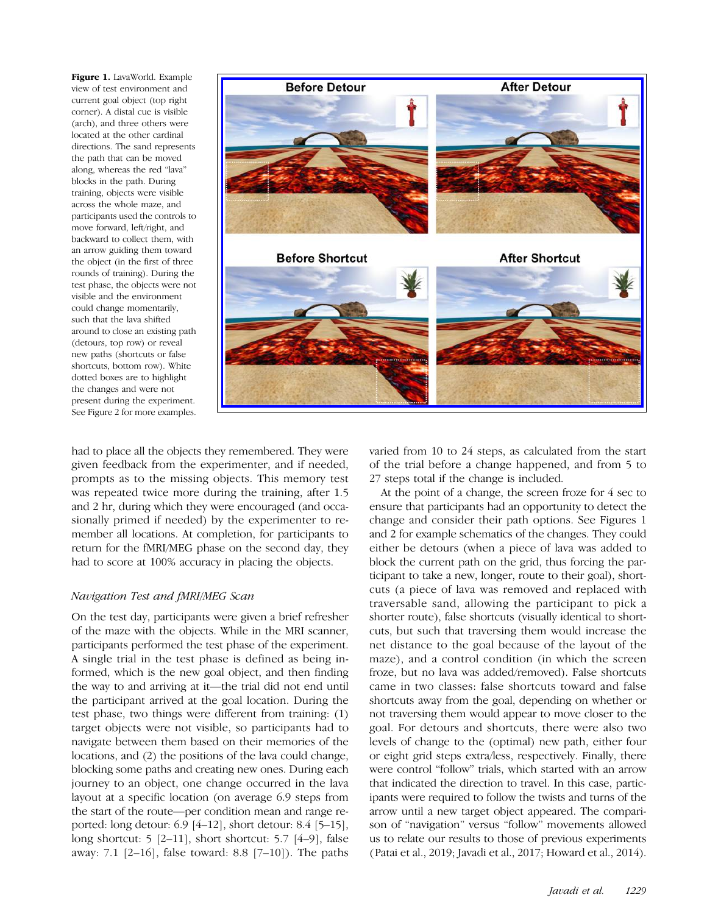Figure 1. LavaWorld. Example view of test environment and current goal object (top right corner). A distal cue is visible (arch), and three others were located at the other cardinal directions. The sand represents the path that can be moved along, whereas the red "lava" blocks in the path. During training, objects were visible across the whole maze, and participants used the controls to move forward, left/right, and backward to collect them, with an arrow guiding them toward the object (in the first of three rounds of training). During the test phase, the objects were not visible and the environment could change momentarily, such that the lava shifted around to close an existing path (detours, top row) or reveal new paths (shortcuts or false shortcuts, bottom row). White dotted boxes are to highlight the changes and were not present during the experiment. See Figure 2 for more examples.



had to place all the objects they remembered. They were given feedback from the experimenter, and if needed, prompts as to the missing objects. This memory test was repeated twice more during the training, after 1.5 and 2 hr, during which they were encouraged (and occasionally primed if needed) by the experimenter to remember all locations. At completion, for participants to return for the fMRI/MEG phase on the second day, they had to score at 100% accuracy in placing the objects.

## Navigation Test and fMRI/MEG Scan

On the test day, participants were given a brief refresher of the maze with the objects. While in the MRI scanner, participants performed the test phase of the experiment. A single trial in the test phase is defined as being informed, which is the new goal object, and then finding the way to and arriving at it—the trial did not end until the participant arrived at the goal location. During the test phase, two things were different from training: (1) target objects were not visible, so participants had to navigate between them based on their memories of the locations, and (2) the positions of the lava could change, blocking some paths and creating new ones. During each journey to an object, one change occurred in the lava layout at a specific location (on average 6.9 steps from the start of the route—per condition mean and range reported: long detour: 6.9 [4–12], short detour: 8.4 [5–15], long shortcut: 5 [2–11], short shortcut: 5.7 [4–9], false away: 7.1 [2–16], false toward: 8.8 [7–10]). The paths varied from 10 to 24 steps, as calculated from the start of the trial before a change happened, and from 5 to 27 steps total if the change is included.

At the point of a change, the screen froze for 4 sec to ensure that participants had an opportunity to detect the change and consider their path options. See Figures 1 and 2 for example schematics of the changes. They could either be detours (when a piece of lava was added to block the current path on the grid, thus forcing the participant to take a new, longer, route to their goal), shortcuts (a piece of lava was removed and replaced with traversable sand, allowing the participant to pick a shorter route), false shortcuts (visually identical to shortcuts, but such that traversing them would increase the net distance to the goal because of the layout of the maze), and a control condition (in which the screen froze, but no lava was added/removed). False shortcuts came in two classes: false shortcuts toward and false shortcuts away from the goal, depending on whether or not traversing them would appear to move closer to the goal. For detours and shortcuts, there were also two levels of change to the (optimal) new path, either four or eight grid steps extra/less, respectively. Finally, there were control "follow" trials, which started with an arrow that indicated the direction to travel. In this case, participants were required to follow the twists and turns of the arrow until a new target object appeared. The comparison of "navigation" versus "follow" movements allowed us to relate our results to those of previous experiments (Patai et al., 2019; Javadi et al., 2017; Howard et al., 2014).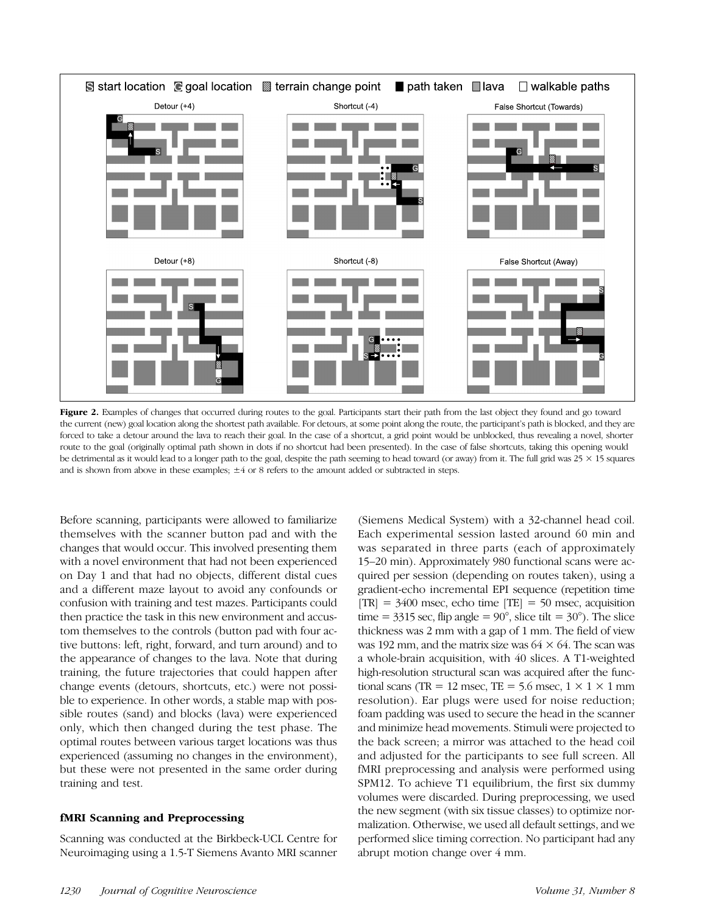

Figure 2. Examples of changes that occurred during routes to the goal. Participants start their path from the last object they found and go toward the current (new) goal location along the shortest path available. For detours, at some point along the route, the participant's path is blocked, and they are forced to take a detour around the lava to reach their goal. In the case of a shortcut, a grid point would be unblocked, thus revealing a novel, shorter route to the goal (originally optimal path shown in dots if no shortcut had been presented). In the case of false shortcuts, taking this opening would be detrimental as it would lead to a longer path to the goal, despite the path seeming to head toward (or away) from it. The full grid was  $25 \times 15$  squares and is shown from above in these examples; ±4 or 8 refers to the amount added or subtracted in steps.

Before scanning, participants were allowed to familiarize themselves with the scanner button pad and with the changes that would occur. This involved presenting them with a novel environment that had not been experienced on Day 1 and that had no objects, different distal cues and a different maze layout to avoid any confounds or confusion with training and test mazes. Participants could then practice the task in this new environment and accustom themselves to the controls (button pad with four active buttons: left, right, forward, and turn around) and to the appearance of changes to the lava. Note that during training, the future trajectories that could happen after change events (detours, shortcuts, etc.) were not possible to experience. In other words, a stable map with possible routes (sand) and blocks (lava) were experienced only, which then changed during the test phase. The optimal routes between various target locations was thus experienced (assuming no changes in the environment), but these were not presented in the same order during training and test.

#### fMRI Scanning and Preprocessing

Scanning was conducted at the Birkbeck-UCL Centre for Neuroimaging using a 1.5-T Siemens Avanto MRI scanner (Siemens Medical System) with a 32-channel head coil. Each experimental session lasted around 60 min and was separated in three parts (each of approximately 15–20 min). Approximately 980 functional scans were acquired per session (depending on routes taken), using a gradient-echo incremental EPI sequence (repetition time  $[TR] = 3400$  msec, echo time  $[TE] = 50$  msec, acquisition time =  $3315$  sec, flip angle =  $90^{\circ}$ , slice tilt =  $30^{\circ}$ ). The slice thickness was 2 mm with a gap of 1 mm. The field of view was 192 mm, and the matrix size was  $64 \times 64$ . The scan was a whole-brain acquisition, with 40 slices. A T1-weighted high-resolution structural scan was acquired after the functional scans (TR = 12 msec, TE = 5.6 msec,  $1 \times 1 \times 1$  mm resolution). Ear plugs were used for noise reduction; foam padding was used to secure the head in the scanner and minimize head movements. Stimuli were projected to the back screen; a mirror was attached to the head coil and adjusted for the participants to see full screen. All fMRI preprocessing and analysis were performed using SPM12. To achieve T1 equilibrium, the first six dummy volumes were discarded. During preprocessing, we used the new segment (with six tissue classes) to optimize normalization. Otherwise, we used all default settings, and we performed slice timing correction. No participant had any abrupt motion change over 4 mm.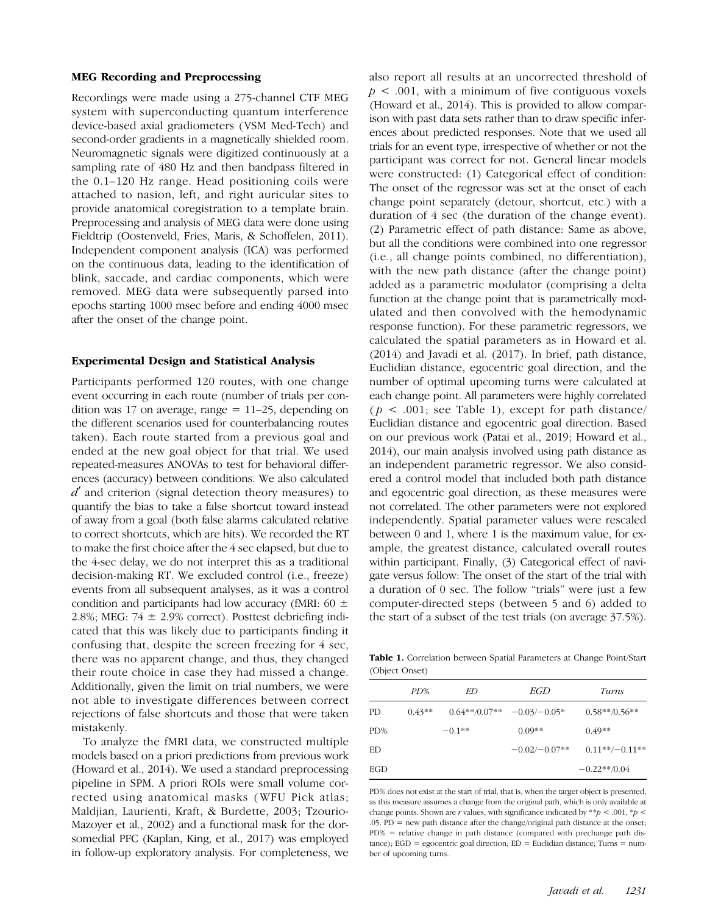#### MEG Recording and Preprocessing

Recordings were made using a 275-channel CTF MEG system with superconducting quantum interference device-based axial gradiometers (VSM Med-Tech) and second-order gradients in a magnetically shielded room. Neuromagnetic signals were digitized continuously at a sampling rate of 480 Hz and then bandpass filtered in the 0.1–120 Hz range. Head positioning coils were attached to nasion, left, and right auricular sites to provide anatomical coregistration to a template brain. Preprocessing and analysis of MEG data were done using Fieldtrip (Oostenveld, Fries, Maris, & Schoffelen, 2011). Independent component analysis (ICA) was performed on the continuous data, leading to the identification of blink, saccade, and cardiac components, which were removed. MEG data were subsequently parsed into epochs starting 1000 msec before and ending 4000 msec after the onset of the change point.

#### Experimental Design and Statistical Analysis

Participants performed 120 routes, with one change event occurring in each route (number of trials per condition was 17 on average, range  $= 11-25$ , depending on the different scenarios used for counterbalancing routes taken). Each route started from a previous goal and ended at the new goal object for that trial. We used repeated-measures ANOVAs to test for behavioral differences (accuracy) between conditions. We also calculated  $d'$  and criterion (signal detection theory measures) to quantify the bias to take a false shortcut toward instead of away from a goal (both false alarms calculated relative to correct shortcuts, which are hits). We recorded the RT to make the first choice after the 4 sec elapsed, but due to the 4-sec delay, we do not interpret this as a traditional decision-making RT. We excluded control (i.e., freeze) events from all subsequent analyses, as it was a control condition and participants had low accuracy (fMRI:  $60 \pm$ 2.8%; MEG:  $74 \pm 2.9\%$  correct). Posttest debriefing indicated that this was likely due to participants finding it confusing that, despite the screen freezing for 4 sec, there was no apparent change, and thus, they changed their route choice in case they had missed a change. Additionally, given the limit on trial numbers, we were not able to investigate differences between correct rejections of false shortcuts and those that were taken mistakenly.

To analyze the fMRI data, we constructed multiple models based on a priori predictions from previous work (Howard et al., 2014). We used a standard preprocessing pipeline in SPM. A priori ROIs were small volume corrected using anatomical masks (WFU Pick atlas; Maldjian, Laurienti, Kraft, & Burdette, 2003; Tzourio-Mazoyer et al., 2002) and a functional mask for the dorsomedial PFC (Kaplan, King, et al., 2017) was employed in follow-up exploratory analysis. For completeness, we

also report all results at an uncorrected threshold of  $p < .001$ , with a minimum of five contiguous voxels (Howard et al., 2014). This is provided to allow comparison with past data sets rather than to draw specific inferences about predicted responses. Note that we used all trials for an event type, irrespective of whether or not the participant was correct for not. General linear models were constructed: (1) Categorical effect of condition: The onset of the regressor was set at the onset of each change point separately (detour, shortcut, etc.) with a duration of 4 sec (the duration of the change event). (2) Parametric effect of path distance: Same as above, but all the conditions were combined into one regressor (i.e., all change points combined, no differentiation), with the new path distance (after the change point) added as a parametric modulator (comprising a delta function at the change point that is parametrically modulated and then convolved with the hemodynamic response function). For these parametric regressors, we calculated the spatial parameters as in Howard et al. (2014) and Javadi et al. (2017). In brief, path distance, Euclidian distance, egocentric goal direction, and the number of optimal upcoming turns were calculated at each change point. All parameters were highly correlated  $(p < .001;$  see Table 1), except for path distance/ Euclidian distance and egocentric goal direction. Based on our previous work (Patai et al., 2019; Howard et al., 2014), our main analysis involved using path distance as an independent parametric regressor. We also considered a control model that included both path distance and egocentric goal direction, as these measures were not correlated. The other parameters were not explored independently. Spatial parameter values were rescaled between 0 and 1, where 1 is the maximum value, for example, the greatest distance, calculated overall routes within participant. Finally, (3) Categorical effect of navigate versus follow: The onset of the start of the trial with a duration of 0 sec. The follow "trials" were just a few computer-directed steps (between 5 and 6) added to the start of a subset of the test trials (on average 37.5%).

Table 1. Correlation between Spatial Parameters at Change Point/Start (Object Onset)

|     | PD%      | ED       | EGD                          | Turns            |
|-----|----------|----------|------------------------------|------------------|
| PD. | $0.43**$ |          | $0.64**/0.07** -0.03/-0.05*$ | $0.58**/0.56**$  |
| PD% |          | $-0.1**$ | $0.09**$                     | $0.49**$         |
| ED  |          |          | $-0.02/-0.07**$              | $0.11**/-0.11**$ |
| EGD |          |          |                              | $-0.22**0.04$    |

PD% does not exist at the start of trial, that is, when the target object is presented, as this measure assumes a change from the original path, which is only available at change points. Shown are  $r$  values, with significance indicated by  $^{**}p < .001, ^{*}p <$ .05. PD = new path distance after the change/original path distance at the onset; PD% = relative change in path distance (compared with prechange path dis $tance$ ; EGD = egocentric goal direction; ED = Euclidian distance; Turns = number of upcoming turns.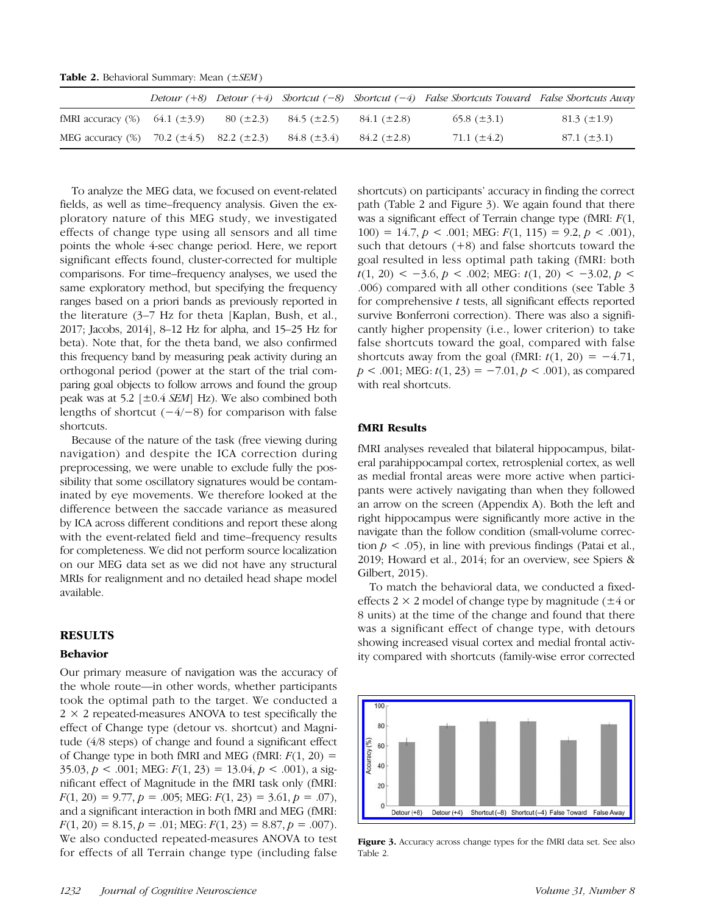Table 2. Behavioral Summary: Mean  $(\pm SEM)$ 

|                                        |                                       |                |                  |                  | Detour $(+8)$ Detour $(+4)$ Shortcut $(-8)$ Shortcut $(-4)$ False Shortcuts Toward False Shortcuts Away |                  |
|----------------------------------------|---------------------------------------|----------------|------------------|------------------|---------------------------------------------------------------------------------------------------------|------------------|
| fMRI accuracy $(\%)$ 64.1 ( $\pm$ 3.9) |                                       | $80 (\pm 2.3)$ | $84.5~(\pm 2.5)$ | $84.1~(\pm 2.8)$ | 65.8 $(\pm 3.1)$                                                                                        | $81.3~(\pm 1.9)$ |
| MEG accuracy (%)                       | $70.2 \ (\pm 4.5)$ 82.2 ( $\pm 2.3$ ) |                | $84.8~(\pm 3.4)$ | $84.2~(\pm 2.8)$ | 71.1 $(\pm 4.2)$                                                                                        | $87.1~(\pm 3.1)$ |

To analyze the MEG data, we focused on event-related fields, as well as time–frequency analysis. Given the exploratory nature of this MEG study, we investigated effects of change type using all sensors and all time points the whole 4-sec change period. Here, we report significant effects found, cluster-corrected for multiple comparisons. For time–frequency analyses, we used the same exploratory method, but specifying the frequency ranges based on a priori bands as previously reported in the literature (3–7 Hz for theta [Kaplan, Bush, et al., 2017; Jacobs, 2014], 8–12 Hz for alpha, and 15–25 Hz for beta). Note that, for the theta band, we also confirmed this frequency band by measuring peak activity during an orthogonal period (power at the start of the trial comparing goal objects to follow arrows and found the group peak was at 5.2  $[\pm 0.4 \text{ SEM}]$  Hz). We also combined both lengths of shortcut  $(-4/-8)$  for comparison with false shortcuts.

Because of the nature of the task (free viewing during navigation) and despite the ICA correction during preprocessing, we were unable to exclude fully the possibility that some oscillatory signatures would be contaminated by eye movements. We therefore looked at the difference between the saccade variance as measured by ICA across different conditions and report these along with the event-related field and time–frequency results for completeness. We did not perform source localization on our MEG data set as we did not have any structural MRIs for realignment and no detailed head shape model available.

## RESULTS

#### Behavior

Our primary measure of navigation was the accuracy of the whole route—in other words, whether participants took the optimal path to the target. We conducted a  $2 \times 2$  repeated-measures ANOVA to test specifically the effect of Change type (detour vs. shortcut) and Magnitude (4/8 steps) of change and found a significant effect of Change type in both fMRI and MEG (fMRI:  $F(1, 20) =$ 35.03,  $p < .001$ ; MEG:  $F(1, 23) = 13.04$ ,  $p < .001$ ), a significant effect of Magnitude in the fMRI task only (fMRI:  $F(1, 20) = 9.77, p = .005$ ; MEG:  $F(1, 23) = 3.61, p = .07$ ), and a significant interaction in both fMRI and MEG (fMRI:  $F(1, 20) = 8.15, p = .01; \text{MEG: } F(1, 23) = 8.87, p = .007.$ We also conducted repeated-measures ANOVA to test for effects of all Terrain change type (including false

shortcuts) on participants' accuracy in finding the correct path (Table 2 and Figure 3). We again found that there was a significant effect of Terrain change type (fMRI:  $F(1, 1)$ 100) = 14.7,  $p < .001$ ; MEG:  $F(1, 115) = 9.2, p < .001$ , such that detours  $(+8)$  and false shortcuts toward the goal resulted in less optimal path taking (fMRI: both  $t(1, 20)$  < −3.6, p < .002; MEG:  $t(1, 20)$  < −3.02, p < .006) compared with all other conditions (see Table 3 for comprehensive t tests, all significant effects reported survive Bonferroni correction). There was also a significantly higher propensity (i.e., lower criterion) to take false shortcuts toward the goal, compared with false shortcuts away from the goal (fMRI:  $t(1, 20) = -4.71$ ,  $p < .001$ ; MEG:  $t(1, 23) = -7.01, p < .001$ , as compared with real shortcuts.

#### fMRI Results

fMRI analyses revealed that bilateral hippocampus, bilateral parahippocampal cortex, retrosplenial cortex, as well as medial frontal areas were more active when participants were actively navigating than when they followed an arrow on the screen (Appendix A). Both the left and right hippocampus were significantly more active in the navigate than the follow condition (small-volume correction  $p < .05$ ), in line with previous findings (Patai et al., 2019; Howard et al., 2014; for an overview, see Spiers & Gilbert, 2015).

To match the behavioral data, we conducted a fixedeffects 2  $\times$  2 model of change type by magnitude ( $\pm$ 4 or 8 units) at the time of the change and found that there was a significant effect of change type, with detours showing increased visual cortex and medial frontal activity compared with shortcuts (family-wise error corrected



Figure 3. Accuracy across change types for the fMRI data set. See also Table 2.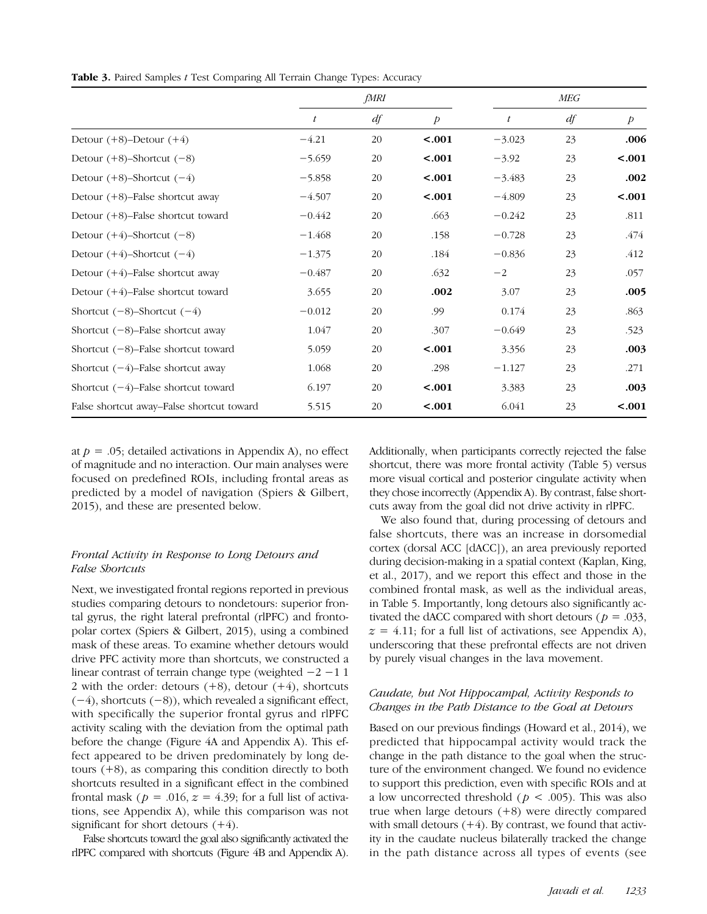|                                           |          | fMRI |                |          | MEG |                |
|-------------------------------------------|----------|------|----------------|----------|-----|----------------|
|                                           | t        | df   | $\overline{p}$ | t        | df  | $\overline{p}$ |
| Detour $(+8)$ -Detour $(+4)$              | $-4.21$  | 20   | < .001         | $-3.023$ | 23  | .006           |
| Detour $(+8)$ -Shortcut $(-8)$            | $-5.659$ | 20   | < .001         | $-3.92$  | 23  | < .001         |
| Detour $(+8)$ -Shortcut $(-4)$            | $-5.858$ | 20   | < .001         | $-3.483$ | 23  | .002           |
| Detour $(+8)$ -False shortcut away        | $-4.507$ | 20   | < .001         | $-4.809$ | 23  | < .001         |
| Detour $(+8)$ -False shortcut toward      | $-0.442$ | 20   | .663           | $-0.242$ | 23  | .811           |
| Detour $(+4)$ -Shortcut $(-8)$            | $-1.468$ | 20   | .158           | $-0.728$ | 23  | .474           |
| Detour $(+4)$ -Shortcut $(-4)$            | $-1.375$ | 20   | .184           | $-0.836$ | 23  | .412           |
| Detour $(+4)$ -False shortcut away        | $-0.487$ | 20   | .632           | $-2$     | 23  | .057           |
| Detour $(+4)$ -False shortcut toward      | 3.655    | 20   | .002           | 3.07     | 23  | .005           |
| Shortcut $(-8)$ -Shortcut $(-4)$          | $-0.012$ | 20   | .99            | 0.174    | 23  | .863           |
| Shortcut $(-8)$ -False shortcut away      | 1.047    | 20   | .307           | $-0.649$ | 23  | .523           |
| Shortcut $(-8)$ -False shortcut toward    | 5.059    | 20   | < .001         | 3.356    | 23  | .003           |
| Shortcut $(-4)$ -False shortcut away      | 1.068    | 20   | .298           | $-1.127$ | 23  | .271           |
| Shortcut $(-4)$ -False shortcut toward    | 6.197    | 20   | < .001         | 3.383    | 23  | .003           |
| False shortcut away–False shortcut toward | 5.515    | 20   | < .001         | 6.041    | 23  | < .001         |

Table 3. Paired Samples t Test Comparing All Terrain Change Types: Accuracy

at  $p = .05$ ; detailed activations in Appendix A), no effect of magnitude and no interaction. Our main analyses were focused on predefined ROIs, including frontal areas as predicted by a model of navigation (Spiers & Gilbert, 2015), and these are presented below.

## Frontal Activity in Response to Long Detours and False Shortcuts

Next, we investigated frontal regions reported in previous studies comparing detours to nondetours: superior frontal gyrus, the right lateral prefrontal (rlPFC) and frontopolar cortex (Spiers & Gilbert, 2015), using a combined mask of these areas. To examine whether detours would drive PFC activity more than shortcuts, we constructed a linear contrast of terrain change type (weighted −2 −1 1 2 with the order: detours  $(+8)$ , detour  $(+4)$ , shortcuts  $(-4)$ , shortcuts  $(-8)$ ), which revealed a significant effect, with specifically the superior frontal gyrus and rlPFC activity scaling with the deviation from the optimal path before the change (Figure 4A and Appendix A). This effect appeared to be driven predominately by long detours (+8), as comparing this condition directly to both shortcuts resulted in a significant effect in the combined frontal mask ( $p = .016$ ,  $z = 4.39$ ; for a full list of activations, see Appendix A), while this comparison was not significant for short detours  $(+4)$ .

False shortcuts toward the goal also significantly activated the rlPFC compared with shortcuts (Figure 4B and Appendix A). Additionally, when participants correctly rejected the false shortcut, there was more frontal activity (Table 5) versus more visual cortical and posterior cingulate activity when they chose incorrectly (Appendix A). By contrast, false shortcuts away from the goal did not drive activity in rlPFC.

We also found that, during processing of detours and false shortcuts, there was an increase in dorsomedial cortex (dorsal ACC [dACC]), an area previously reported during decision-making in a spatial context (Kaplan, King, et al., 2017), and we report this effect and those in the combined frontal mask, as well as the individual areas, in Table 5. Importantly, long detours also significantly activated the dACC compared with short detours ( $p = .033$ ,  $z = 4.11$ ; for a full list of activations, see Appendix A), underscoring that these prefrontal effects are not driven by purely visual changes in the lava movement.

## Caudate, but Not Hippocampal, Activity Responds to Changes in the Path Distance to the Goal at Detours

Based on our previous findings (Howard et al., 2014), we predicted that hippocampal activity would track the change in the path distance to the goal when the structure of the environment changed. We found no evidence to support this prediction, even with specific ROIs and at a low uncorrected threshold ( $p < .005$ ). This was also true when large detours  $(+8)$  were directly compared with small detours  $(+4)$ . By contrast, we found that activity in the caudate nucleus bilaterally tracked the change in the path distance across all types of events (see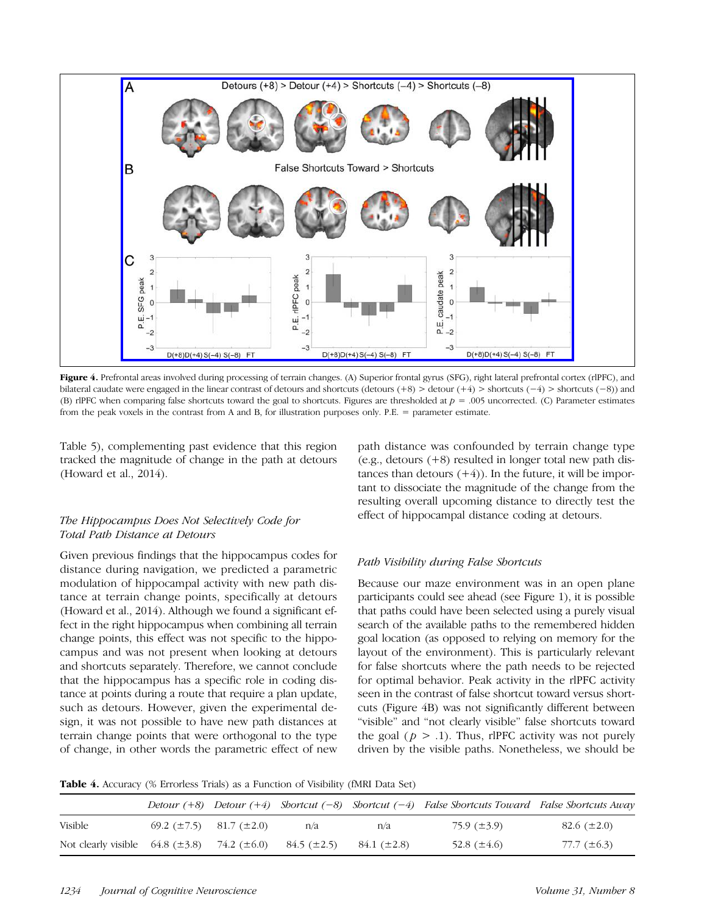

Figure 4. Prefrontal areas involved during processing of terrain changes. (A) Superior frontal gyrus (SFG), right lateral prefrontal cortex (rlPFC), and bilateral caudate were engaged in the linear contrast of detours and shortcuts (detours (+8) > detour (+4) > shortcuts (−4) > shortcuts (−8)) and (B) rlPFC when comparing false shortcuts toward the goal to shortcuts. Figures are thresholded at  $p = .005$  uncorrected. (C) Parameter estimates from the peak voxels in the contrast from A and B, for illustration purposes only. P.E. = parameter estimate.

Table 5), complementing past evidence that this region tracked the magnitude of change in the path at detours (Howard et al., 2014).

## The Hippocampus Does Not Selectively Code for Total Path Distance at Detours

Given previous findings that the hippocampus codes for distance during navigation, we predicted a parametric modulation of hippocampal activity with new path distance at terrain change points, specifically at detours (Howard et al., 2014). Although we found a significant effect in the right hippocampus when combining all terrain change points, this effect was not specific to the hippocampus and was not present when looking at detours and shortcuts separately. Therefore, we cannot conclude that the hippocampus has a specific role in coding distance at points during a route that require a plan update, such as detours. However, given the experimental design, it was not possible to have new path distances at terrain change points that were orthogonal to the type of change, in other words the parametric effect of new

path distance was confounded by terrain change type (e.g., detours (+8) resulted in longer total new path distances than detours  $(+4)$ ). In the future, it will be important to dissociate the magnitude of the change from the resulting overall upcoming distance to directly test the effect of hippocampal distance coding at detours.

## Path Visibility during False Shortcuts

Because our maze environment was in an open plane participants could see ahead (see Figure 1), it is possible that paths could have been selected using a purely visual search of the available paths to the remembered hidden goal location (as opposed to relying on memory for the layout of the environment). This is particularly relevant for false shortcuts where the path needs to be rejected for optimal behavior. Peak activity in the rlPFC activity seen in the contrast of false shortcut toward versus shortcuts (Figure 4B) was not significantly different between "visible" and "not clearly visible" false shortcuts toward the goal ( $p > 0.1$ ). Thus, rlPFC activity was not purely driven by the visible paths. Nonetheless, we should be

Table 4. Accuracy (% Errorless Trials) as a Function of Visibility (fMRI Data Set)

|                                        |                                       |                  |                  | Detour $(+8)$ Detour $(+4)$ Shortcut $(-8)$ Shortcut $(-4)$ False Shortcuts Toward False Shortcuts Away |                  |
|----------------------------------------|---------------------------------------|------------------|------------------|---------------------------------------------------------------------------------------------------------|------------------|
| Visible                                | $69.2 \ (\pm 7.5)$ $81.7 \ (\pm 2.0)$ | n/a              | n/a              | 75.9 (±3.9)                                                                                             | 82.6 $(\pm 2.0)$ |
| Not clearly visible $64.8 \ (\pm 3.8)$ | 74.2 $(\pm 6.0)$                      | $84.5~(\pm 2.5)$ | $84.1~(\pm 2.8)$ | 52.8 $(\pm 4.6)$                                                                                        | 77.7 $(\pm 6.3)$ |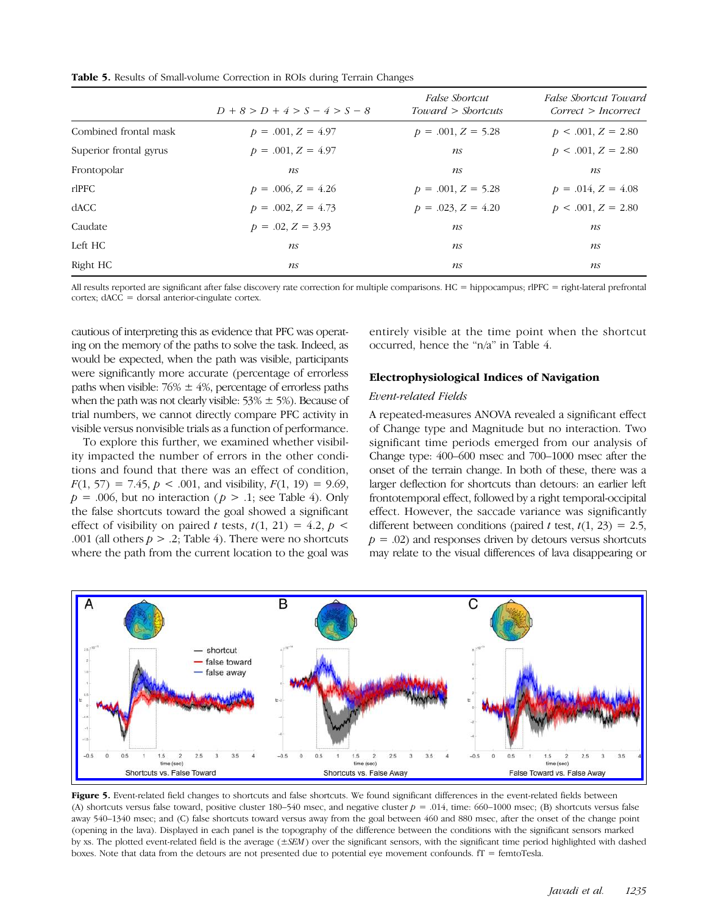Table 5. Results of Small-volume Correction in ROIs during Terrain Changes

|                        | $D+8 > D+4 > S-4 > S-8$ | <i>False Shortcut</i><br>Toward > Shortcuts | False Shortcut Toward<br>Correct > Incorrect |
|------------------------|-------------------------|---------------------------------------------|----------------------------------------------|
| Combined frontal mask  | $p = .001, Z = 4.97$    | $p = .001, Z = 5.28$                        | $p < .001, Z = 2.80$                         |
| Superior frontal gyrus | $p = .001, Z = 4.97$    | ns                                          | $p < .001, Z = 2.80$                         |
| Frontopolar            | ns                      | ns                                          | ns                                           |
| rlPFC                  | $p = .006, Z = 4.26$    | $p = .001, Z = 5.28$                        | $p = .014, Z = 4.08$                         |
| dACC                   | $p = .002, Z = 4.73$    | $p = .023, Z = 4.20$                        | $p < .001, Z = 2.80$                         |
| Caudate                | $p = .02, Z = 3.93$     | ns                                          | ns                                           |
| Left HC                | ns                      | ns                                          | ns                                           |
| Right HC               | ns                      | ns                                          | ns                                           |

All results reported are significant after false discovery rate correction for multiple comparisons. HC = hippocampus; rlPFC = right-lateral prefrontal cortex; dACC = dorsal anterior-cingulate cortex.

cautious of interpreting this as evidence that PFC was operating on the memory of the paths to solve the task. Indeed, as would be expected, when the path was visible, participants were significantly more accurate (percentage of errorless paths when visible:  $76\% \pm 4\%$ , percentage of errorless paths when the path was not clearly visible:  $53\% \pm 5\%$ ). Because of trial numbers, we cannot directly compare PFC activity in visible versus nonvisible trials as a function of performance.

To explore this further, we examined whether visibility impacted the number of errors in the other conditions and found that there was an effect of condition,  $F(1, 57) = 7.45$ ,  $p < .001$ , and visibility,  $F(1, 19) = 9.69$ ,  $p = .006$ , but no interaction ( $p > .1$ ; see Table 4). Only the false shortcuts toward the goal showed a significant effect of visibility on paired t tests,  $t(1, 21) = 4.2$ ,  $p \le$ .001 (all others  $p > 0.2$ ; Table 4). There were no shortcuts where the path from the current location to the goal was entirely visible at the time point when the shortcut occurred, hence the "n/a" in Table 4.

#### Electrophysiological Indices of Navigation

#### Event-related Fields

A repeated-measures ANOVA revealed a significant effect of Change type and Magnitude but no interaction. Two significant time periods emerged from our analysis of Change type: 400–600 msec and 700–1000 msec after the onset of the terrain change. In both of these, there was a larger deflection for shortcuts than detours: an earlier left frontotemporal effect, followed by a right temporal-occipital effect. However, the saccade variance was significantly different between conditions (paired t test,  $t(1, 23) = 2.5$ ,  $p = .02$ ) and responses driven by detours versus shortcuts may relate to the visual differences of lava disappearing or



Figure 5. Event-related field changes to shortcuts and false shortcuts. We found significant differences in the event-related fields between (A) shortcuts versus false toward, positive cluster 180–540 msec, and negative cluster  $p = .014$ , time: 660–1000 msec; (B) shortcuts versus false away 540–1340 msec; and (C) false shortcuts toward versus away from the goal between 460 and 880 msec, after the onset of the change point (opening in the lava). Displayed in each panel is the topography of the difference between the conditions with the significant sensors marked by xs. The plotted event-related field is the average  $(\pm SEM)$  over the significant sensors, with the significant time period highlighted with dashed boxes. Note that data from the detours are not presented due to potential eye movement confounds. fT = femtoTesla.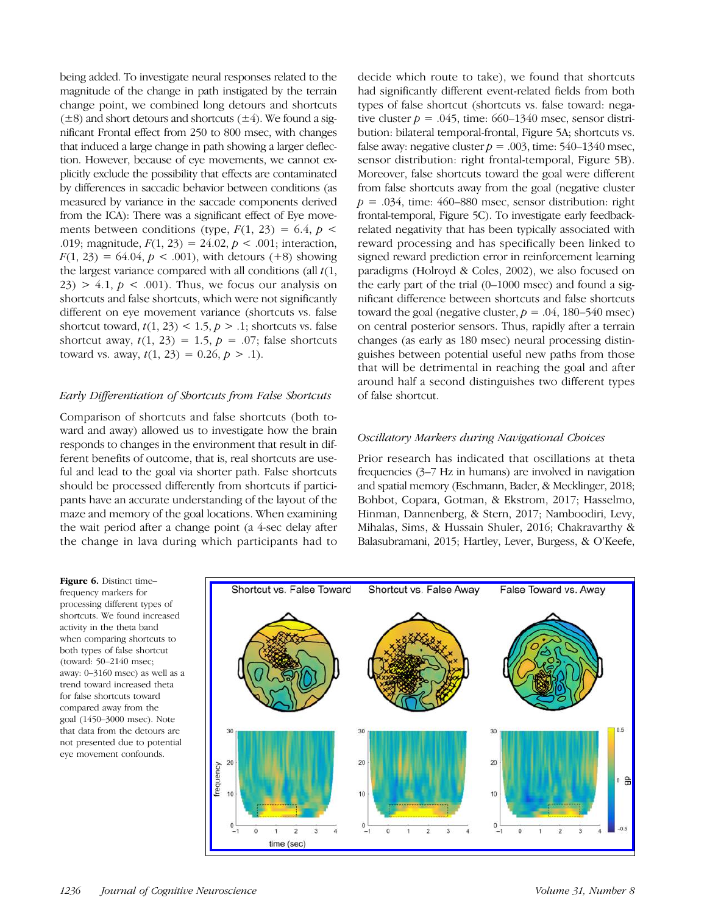being added. To investigate neural responses related to the magnitude of the change in path instigated by the terrain change point, we combined long detours and shortcuts  $(\pm 8)$  and short detours and shortcuts  $(\pm 4)$ . We found a significant Frontal effect from 250 to 800 msec, with changes that induced a large change in path showing a larger deflection. However, because of eye movements, we cannot explicitly exclude the possibility that effects are contaminated by differences in saccadic behavior between conditions (as measured by variance in the saccade components derived from the ICA): There was a significant effect of Eye movements between conditions (type,  $F(1, 23) = 6.4$ ,  $p \le$ .019; magnitude,  $F(1, 23) = 24.02$ ,  $p < .001$ ; interaction,  $F(1, 23) = 64.04, p < .001$ , with detours (+8) showing the largest variance compared with all conditions (all  $t(1,$  $23$ ) > 4.1,  $p < .001$ ). Thus, we focus our analysis on shortcuts and false shortcuts, which were not significantly different on eye movement variance (shortcuts vs. false shortcut toward,  $t(1, 23) < 1.5$ ,  $p > 0.1$ ; shortcuts vs. false shortcut away,  $t(1, 23) = 1.5$ ,  $p = .07$ ; false shortcuts toward vs. away,  $t(1, 23) = 0.26, p > .1$ .

## Early Differentiation of Shortcuts from False Shortcuts

Comparison of shortcuts and false shortcuts (both toward and away) allowed us to investigate how the brain responds to changes in the environment that result in different benefits of outcome, that is, real shortcuts are useful and lead to the goal via shorter path. False shortcuts should be processed differently from shortcuts if participants have an accurate understanding of the layout of the maze and memory of the goal locations. When examining the wait period after a change point (a 4-sec delay after the change in lava during which participants had to

decide which route to take), we found that shortcuts had significantly different event-related fields from both types of false shortcut (shortcuts vs. false toward: negative cluster  $p = .045$ , time: 660–1340 msec, sensor distribution: bilateral temporal-frontal, Figure 5A; shortcuts vs. false away: negative cluster  $p = .003$ , time: 540–1340 msec, sensor distribution: right frontal-temporal, Figure 5B). Moreover, false shortcuts toward the goal were different from false shortcuts away from the goal (negative cluster  $p = .034$ , time: 460–880 msec, sensor distribution: right frontal-temporal, Figure 5C). To investigate early feedbackrelated negativity that has been typically associated with reward processing and has specifically been linked to signed reward prediction error in reinforcement learning paradigms (Holroyd & Coles, 2002), we also focused on the early part of the trial (0–1000 msec) and found a significant difference between shortcuts and false shortcuts toward the goal (negative cluster,  $p = .04$ , 180–540 msec) on central posterior sensors. Thus, rapidly after a terrain changes (as early as 180 msec) neural processing distinguishes between potential useful new paths from those that will be detrimental in reaching the goal and after around half a second distinguishes two different types of false shortcut.

## Oscillatory Markers during Navigational Choices

Prior research has indicated that oscillations at theta frequencies (3–7 Hz in humans) are involved in navigation and spatial memory (Eschmann, Bader, & Mecklinger, 2018; Bohbot, Copara, Gotman, & Ekstrom, 2017; Hasselmo, Hinman, Dannenberg, & Stern, 2017; Namboodiri, Levy, Mihalas, Sims, & Hussain Shuler, 2016; Chakravarthy & Balasubramani, 2015; Hartley, Lever, Burgess, & O'Keefe,

Figure 6. Distinct timefrequency markers for processing different types of shortcuts. We found increased activity in the theta band when comparing shortcuts to both types of false shortcut (toward: 50–2140 msec; away: 0–3160 msec) as well as a trend toward increased theta for false shortcuts toward compared away from the goal (1450–3000 msec). Note that data from the detours are not presented due to potential eye movement confounds.

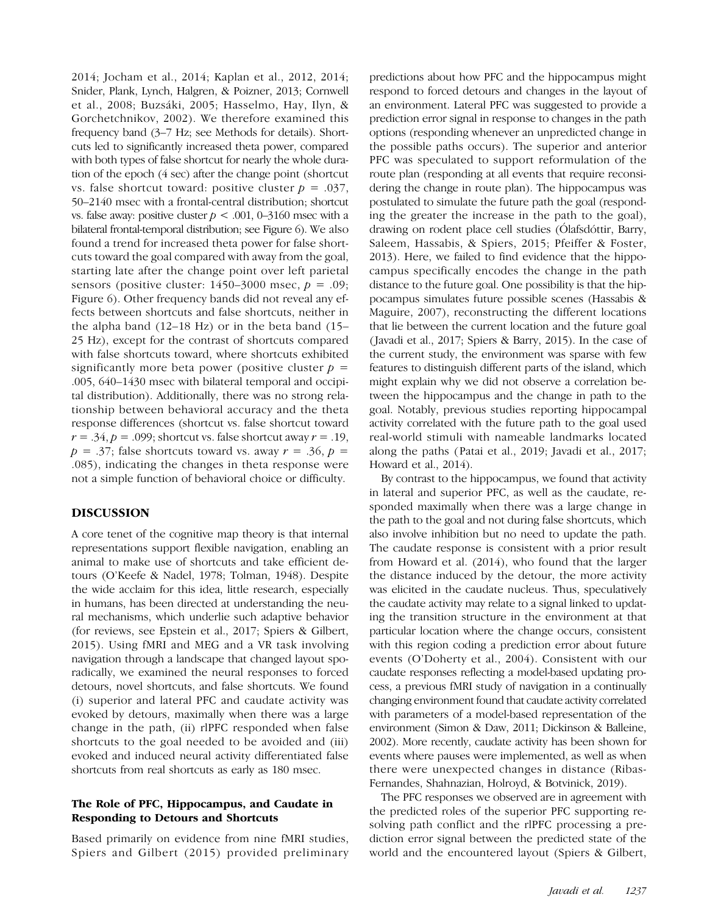2014; Jocham et al., 2014; Kaplan et al., 2012, 2014; Snider, Plank, Lynch, Halgren, & Poizner, 2013; Cornwell et al., 2008; Buzsáki, 2005; Hasselmo, Hay, Ilyn, & Gorchetchnikov, 2002). We therefore examined this frequency band (3–7 Hz; see Methods for details). Shortcuts led to significantly increased theta power, compared with both types of false shortcut for nearly the whole duration of the epoch (4 sec) after the change point (shortcut vs. false shortcut toward: positive cluster  $p = .037$ , 50–2140 msec with a frontal-central distribution; shortcut vs. false away: positive cluster  $p < .001$ , 0–3160 msec with a bilateral frontal-temporal distribution; see Figure 6). We also found a trend for increased theta power for false shortcuts toward the goal compared with away from the goal, starting late after the change point over left parietal sensors (positive cluster:  $1450-3000$  msec,  $p = .09$ ; Figure 6). Other frequency bands did not reveal any effects between shortcuts and false shortcuts, neither in the alpha band (12–18 Hz) or in the beta band (15– 25 Hz), except for the contrast of shortcuts compared with false shortcuts toward, where shortcuts exhibited significantly more beta power (positive cluster  $p =$ .005, 640–1430 msec with bilateral temporal and occipital distribution). Additionally, there was no strong relationship between behavioral accuracy and the theta response differences (shortcut vs. false shortcut toward  $r = .34$ ,  $p = .099$ ; shortcut vs. false shortcut away  $r = .19$ ,  $p = .37$ ; false shortcuts toward vs. away  $r = .36$ ,  $p =$ .085), indicating the changes in theta response were not a simple function of behavioral choice or difficulty.

## DISCUSSION

A core tenet of the cognitive map theory is that internal representations support flexible navigation, enabling an animal to make use of shortcuts and take efficient detours (O'Keefe & Nadel, 1978; Tolman, 1948). Despite the wide acclaim for this idea, little research, especially in humans, has been directed at understanding the neural mechanisms, which underlie such adaptive behavior (for reviews, see Epstein et al., 2017; Spiers & Gilbert, 2015). Using fMRI and MEG and a VR task involving navigation through a landscape that changed layout sporadically, we examined the neural responses to forced detours, novel shortcuts, and false shortcuts. We found (i) superior and lateral PFC and caudate activity was evoked by detours, maximally when there was a large change in the path, (ii) rlPFC responded when false shortcuts to the goal needed to be avoided and (iii) evoked and induced neural activity differentiated false shortcuts from real shortcuts as early as 180 msec.

## The Role of PFC, Hippocampus, and Caudate in Responding to Detours and Shortcuts

Based primarily on evidence from nine fMRI studies, Spiers and Gilbert (2015) provided preliminary predictions about how PFC and the hippocampus might respond to forced detours and changes in the layout of an environment. Lateral PFC was suggested to provide a prediction error signal in response to changes in the path options (responding whenever an unpredicted change in the possible paths occurs). The superior and anterior PFC was speculated to support reformulation of the route plan (responding at all events that require reconsidering the change in route plan). The hippocampus was postulated to simulate the future path the goal (responding the greater the increase in the path to the goal), drawing on rodent place cell studies (Ólafsdóttir, Barry, Saleem, Hassabis, & Spiers, 2015; Pfeiffer & Foster, 2013). Here, we failed to find evidence that the hippocampus specifically encodes the change in the path distance to the future goal. One possibility is that the hippocampus simulates future possible scenes (Hassabis & Maguire, 2007), reconstructing the different locations that lie between the current location and the future goal ( Javadi et al., 2017; Spiers & Barry, 2015). In the case of the current study, the environment was sparse with few features to distinguish different parts of the island, which might explain why we did not observe a correlation between the hippocampus and the change in path to the goal. Notably, previous studies reporting hippocampal activity correlated with the future path to the goal used real-world stimuli with nameable landmarks located along the paths ( Patai et al., 2019; Javadi et al., 2017; Howard et al., 2014).

By contrast to the hippocampus, we found that activity in lateral and superior PFC, as well as the caudate, responded maximally when there was a large change in the path to the goal and not during false shortcuts, which also involve inhibition but no need to update the path. The caudate response is consistent with a prior result from Howard et al. (2014), who found that the larger the distance induced by the detour, the more activity was elicited in the caudate nucleus. Thus, speculatively the caudate activity may relate to a signal linked to updating the transition structure in the environment at that particular location where the change occurs, consistent with this region coding a prediction error about future events (O'Doherty et al., 2004). Consistent with our caudate responses reflecting a model-based updating process, a previous fMRI study of navigation in a continually changing environment found that caudate activity correlated with parameters of a model-based representation of the environment (Simon & Daw, 2011; Dickinson & Balleine, 2002). More recently, caudate activity has been shown for events where pauses were implemented, as well as when there were unexpected changes in distance (Ribas-Fernandes, Shahnazian, Holroyd, & Botvinick, 2019).

The PFC responses we observed are in agreement with the predicted roles of the superior PFC supporting resolving path conflict and the rlPFC processing a prediction error signal between the predicted state of the world and the encountered layout (Spiers & Gilbert,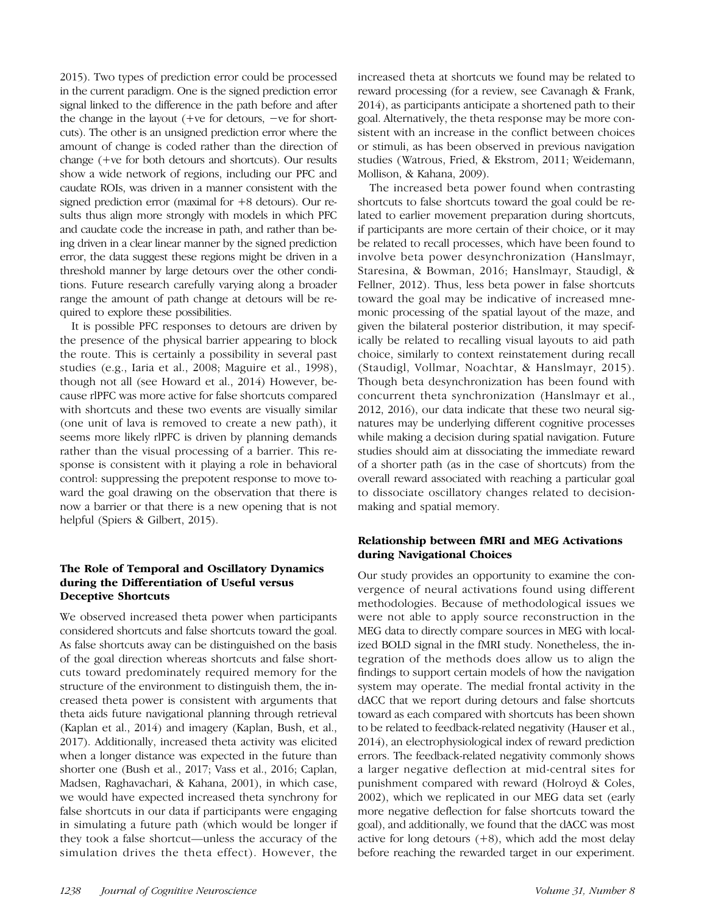2015). Two types of prediction error could be processed in the current paradigm. One is the signed prediction error signal linked to the difference in the path before and after the change in the layout (+ve for detours, −ve for shortcuts). The other is an unsigned prediction error where the amount of change is coded rather than the direction of change (+ve for both detours and shortcuts). Our results show a wide network of regions, including our PFC and caudate ROIs, was driven in a manner consistent with the signed prediction error (maximal for +8 detours). Our results thus align more strongly with models in which PFC and caudate code the increase in path, and rather than being driven in a clear linear manner by the signed prediction error, the data suggest these regions might be driven in a threshold manner by large detours over the other conditions. Future research carefully varying along a broader range the amount of path change at detours will be required to explore these possibilities.

It is possible PFC responses to detours are driven by the presence of the physical barrier appearing to block the route. This is certainly a possibility in several past studies (e.g., Iaria et al., 2008; Maguire et al., 1998), though not all (see Howard et al., 2014) However, because rlPFC was more active for false shortcuts compared with shortcuts and these two events are visually similar (one unit of lava is removed to create a new path), it seems more likely rlPFC is driven by planning demands rather than the visual processing of a barrier. This response is consistent with it playing a role in behavioral control: suppressing the prepotent response to move toward the goal drawing on the observation that there is now a barrier or that there is a new opening that is not helpful (Spiers & Gilbert, 2015).

# The Role of Temporal and Oscillatory Dynamics during the Differentiation of Useful versus Deceptive Shortcuts

We observed increased theta power when participants considered shortcuts and false shortcuts toward the goal. As false shortcuts away can be distinguished on the basis of the goal direction whereas shortcuts and false shortcuts toward predominately required memory for the structure of the environment to distinguish them, the increased theta power is consistent with arguments that theta aids future navigational planning through retrieval (Kaplan et al., 2014) and imagery (Kaplan, Bush, et al., 2017). Additionally, increased theta activity was elicited when a longer distance was expected in the future than shorter one (Bush et al., 2017; Vass et al., 2016; Caplan, Madsen, Raghavachari, & Kahana, 2001), in which case, we would have expected increased theta synchrony for false shortcuts in our data if participants were engaging in simulating a future path (which would be longer if they took a false shortcut—unless the accuracy of the simulation drives the theta effect). However, the

increased theta at shortcuts we found may be related to reward processing (for a review, see Cavanagh & Frank, 2014), as participants anticipate a shortened path to their goal. Alternatively, the theta response may be more consistent with an increase in the conflict between choices or stimuli, as has been observed in previous navigation studies (Watrous, Fried, & Ekstrom, 2011; Weidemann, Mollison, & Kahana, 2009).

The increased beta power found when contrasting shortcuts to false shortcuts toward the goal could be related to earlier movement preparation during shortcuts, if participants are more certain of their choice, or it may be related to recall processes, which have been found to involve beta power desynchronization (Hanslmayr, Staresina, & Bowman, 2016; Hanslmayr, Staudigl, & Fellner, 2012). Thus, less beta power in false shortcuts toward the goal may be indicative of increased mnemonic processing of the spatial layout of the maze, and given the bilateral posterior distribution, it may specifically be related to recalling visual layouts to aid path choice, similarly to context reinstatement during recall (Staudigl, Vollmar, Noachtar, & Hanslmayr, 2015). Though beta desynchronization has been found with concurrent theta synchronization (Hanslmayr et al., 2012, 2016), our data indicate that these two neural signatures may be underlying different cognitive processes while making a decision during spatial navigation. Future studies should aim at dissociating the immediate reward of a shorter path (as in the case of shortcuts) from the overall reward associated with reaching a particular goal to dissociate oscillatory changes related to decisionmaking and spatial memory.

## Relationship between fMRI and MEG Activations during Navigational Choices

Our study provides an opportunity to examine the convergence of neural activations found using different methodologies. Because of methodological issues we were not able to apply source reconstruction in the MEG data to directly compare sources in MEG with localized BOLD signal in the fMRI study. Nonetheless, the integration of the methods does allow us to align the findings to support certain models of how the navigation system may operate. The medial frontal activity in the dACC that we report during detours and false shortcuts toward as each compared with shortcuts has been shown to be related to feedback-related negativity (Hauser et al., 2014), an electrophysiological index of reward prediction errors. The feedback-related negativity commonly shows a larger negative deflection at mid-central sites for punishment compared with reward (Holroyd & Coles, 2002), which we replicated in our MEG data set (early more negative deflection for false shortcuts toward the goal), and additionally, we found that the dACC was most active for long detours  $(+8)$ , which add the most delay before reaching the rewarded target in our experiment.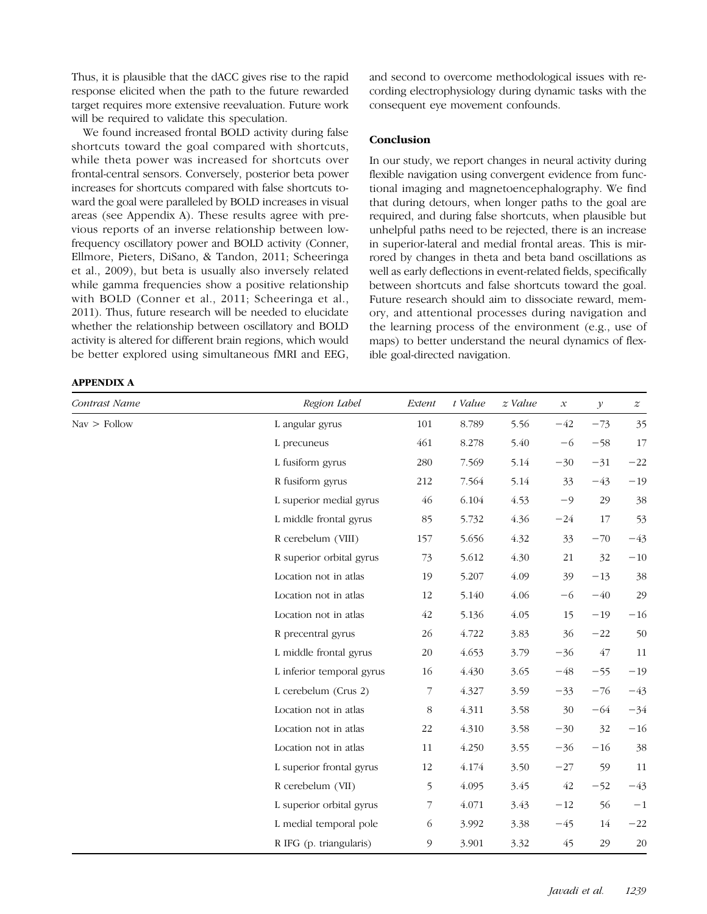Thus, it is plausible that the dACC gives rise to the rapid response elicited when the path to the future rewarded target requires more extensive reevaluation. Future work will be required to validate this speculation.

We found increased frontal BOLD activity during false shortcuts toward the goal compared with shortcuts, while theta power was increased for shortcuts over frontal-central sensors. Conversely, posterior beta power increases for shortcuts compared with false shortcuts toward the goal were paralleled by BOLD increases in visual areas (see Appendix A). These results agree with previous reports of an inverse relationship between lowfrequency oscillatory power and BOLD activity (Conner, Ellmore, Pieters, DiSano, & Tandon, 2011; Scheeringa et al., 2009), but beta is usually also inversely related while gamma frequencies show a positive relationship with BOLD (Conner et al., 2011; Scheeringa et al., 2011). Thus, future research will be needed to elucidate whether the relationship between oscillatory and BOLD activity is altered for different brain regions, which would be better explored using simultaneous fMRI and EEG,

## APPENDIX A

and second to overcome methodological issues with recording electrophysiology during dynamic tasks with the consequent eye movement confounds.

#### **Conclusion**

In our study, we report changes in neural activity during flexible navigation using convergent evidence from functional imaging and magnetoencephalography. We find that during detours, when longer paths to the goal are required, and during false shortcuts, when plausible but unhelpful paths need to be rejected, there is an increase in superior-lateral and medial frontal areas. This is mirrored by changes in theta and beta band oscillations as well as early deflections in event-related fields, specifically between shortcuts and false shortcuts toward the goal. Future research should aim to dissociate reward, memory, and attentional processes during navigation and the learning process of the environment (e.g., use of maps) to better understand the neural dynamics of flexible goal-directed navigation.

| Contrast Name                | Region Label              | Extent  | t Value | z Value | $\boldsymbol{\mathcal{X}}$ | $\mathcal{Y}$ | $\boldsymbol{z}$ |
|------------------------------|---------------------------|---------|---------|---------|----------------------------|---------------|------------------|
| $\text{Nav} > \text{Follow}$ | L angular gyrus           | 101     | 8.789   | 5.56    | $-42$                      | $-73$         | 35               |
|                              | L precuneus               | 461     | 8.278   | 5.40    | $-6$                       | $-58$         | 17               |
|                              | L fusiform gyrus          | 280     | 7.569   | 5.14    | $-30$                      | $-31$         | $-22$            |
|                              | R fusiform gyrus          | 212     | 7.564   | 5.14    | 33                         | $-43$         | $-19$            |
|                              | L superior medial gyrus   | 46      | 6.104   | 4.53    | $-9$                       | 29            | 38               |
|                              | L middle frontal gyrus    | 85      | 5.732   | 4.36    | $-24$                      | 17            | 53               |
|                              | R cerebelum (VIII)        | 157     | 5.656   | 4.32    | 33                         | $-70$         | $-43$            |
|                              | R superior orbital gyrus  | 73      | 5.612   | 4.30    | 21                         | 32            | $-10\,$          |
|                              | Location not in atlas     | 19      | 5.207   | 4.09    | 39                         | $-13$         | 38               |
|                              | Location not in atlas     | 12      | 5.140   | 4.06    | $-6$                       | $-40$         | 29               |
|                              | Location not in atlas     | $42\,$  | 5.136   | 4.05    | 15                         | $-19$         | $-16$            |
|                              | R precentral gyrus        | 26      | 4.722   | 3.83    | 36                         | $-22$         | 50               |
|                              | L middle frontal gyrus    | 20      | 4.653   | 3.79    | $-36$                      | 47            | 11               |
|                              | L inferior temporal gyrus | 16      | 4.430   | 3.65    | $-48$                      | $-55$         | $-19$            |
|                              | L cerebelum (Crus 2)      | 7       | 4.327   | 3.59    | $-33$                      | $-76$         | $-43$            |
|                              | Location not in atlas     | $\,8\,$ | 4.311   | 3.58    | 30                         | $-64$         | $-34$            |
|                              | Location not in atlas     | 22      | 4.310   | 3.58    | $-30$                      | 32            | $-16$            |
|                              | Location not in atlas     | 11      | 4.250   | 3.55    | $-36$                      | $-16$         | 38               |
|                              | L superior frontal gyrus  | 12      | 4.174   | 3.50    | $-27$                      | 59            | 11               |
|                              | R cerebelum (VII)         | 5       | 4.095   | 3.45    | 42                         | $-52$         | $-43$            |
|                              | L superior orbital gyrus  | 7       | 4.071   | 3.43    | $-12$                      | 56            | $-{\bf 1}$       |
|                              | L medial temporal pole    | 6       | 3.992   | 3.38    | $-45$                      | 14            | $-22$            |
|                              | R IFG (p. triangularis)   | 9       | 3.901   | 3.32    | 45                         | 29            | $20\,$           |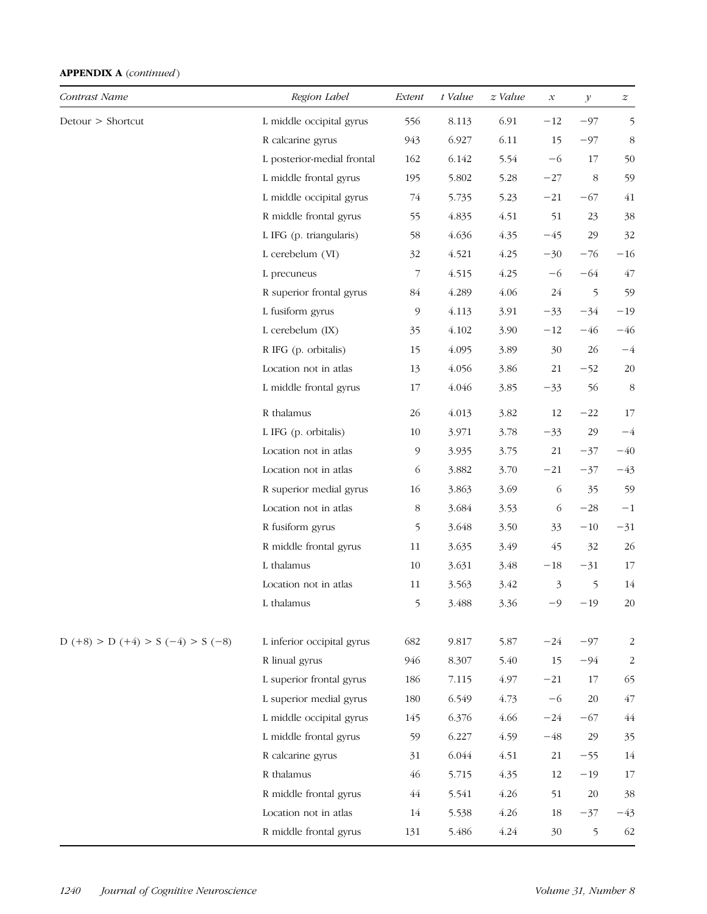| Contrast Name                       | Region Label               | Extent         | t Value | $z$ Value | $\mathcal{X}% _{0}=\mathcal{X}_{0}=\mathcal{X}_{0}=\mathcal{X}_{1}=\mathcal{X}_{1}=\mathcal{X}_{2}=\mathcal{X}_{1}=\mathcal{X}_{2}=\mathcal{X}_{3}=\mathcal{X}_{4}=\mathcal{X}_{5}=\mathcal{X}_{6}=\mathcal{X}_{7}=\mathcal{X}_{8}=\mathcal{X}_{9}=\mathcal{X}_{1}=\mathcal{X}_{1}=\mathcal{X}_{1}=\mathcal{X}_{2}=\mathcal{X}_{3}=\mathcal{X}_{4}=\mathcal{X}_{5}=\mathcal{X}_{6}=\mathcal{X}_{7}=\mathcal{X}_{8}=\mathcal{X}_{9}=\mathcal{X}_{1}=\math$ | $\mathcal{Y}$ | $\boldsymbol{z}$        |
|-------------------------------------|----------------------------|----------------|---------|-----------|-----------------------------------------------------------------------------------------------------------------------------------------------------------------------------------------------------------------------------------------------------------------------------------------------------------------------------------------------------------------------------------------------------------------------------------------------------------|---------------|-------------------------|
| Detour > Shortcut                   | L middle occipital gyrus   | 556            | 8.113   | 6.91      | $-12$                                                                                                                                                                                                                                                                                                                                                                                                                                                     | $-97$         | 5                       |
|                                     | R calcarine gyrus          | 943            | 6.927   | 6.11      | 15                                                                                                                                                                                                                                                                                                                                                                                                                                                        | $-97$         | 8                       |
|                                     | L posterior-medial frontal | 162            | 6.142   | 5.54      | $-6$                                                                                                                                                                                                                                                                                                                                                                                                                                                      | 17            | 50                      |
|                                     | L middle frontal gyrus     | 195            | 5.802   | 5.28      | $-27\,$                                                                                                                                                                                                                                                                                                                                                                                                                                                   | 8             | 59                      |
|                                     | L middle occipital gyrus   | 74             | 5.735   | 5.23      | $-21$                                                                                                                                                                                                                                                                                                                                                                                                                                                     | $-67$         | 41                      |
|                                     | R middle frontal gyrus     | 55             | 4.835   | 4.51      | 51                                                                                                                                                                                                                                                                                                                                                                                                                                                        | 23            | 38                      |
|                                     | L IFG (p. triangularis)    | 58             | 4.636   | 4.35      | $-45$                                                                                                                                                                                                                                                                                                                                                                                                                                                     | 29            | 32                      |
|                                     | L cerebelum (VI)           | 32             | 4.521   | 4.25      | $-30$                                                                                                                                                                                                                                                                                                                                                                                                                                                     | $-76$         | $-16$                   |
|                                     | L precuneus                | 7              | 4.515   | 4.25      | $-6$                                                                                                                                                                                                                                                                                                                                                                                                                                                      | $-64$         | 47                      |
|                                     | R superior frontal gyrus   | 84             | 4.289   | 4.06      | 24                                                                                                                                                                                                                                                                                                                                                                                                                                                        | 5             | 59                      |
|                                     | L fusiform gyrus           | $\mathcal{P}$  | 4.113   | 3.91      | $-33$                                                                                                                                                                                                                                                                                                                                                                                                                                                     | $-34$         | $-19$                   |
|                                     | L cerebelum (IX)           | 35             | 4.102   | 3.90      | $-12$                                                                                                                                                                                                                                                                                                                                                                                                                                                     | $-46$         | $-46$                   |
|                                     | R IFG (p. orbitalis)       | 15             | 4.095   | 3.89      | 30                                                                                                                                                                                                                                                                                                                                                                                                                                                        | 26            | $-4$                    |
|                                     | Location not in atlas      | 13             | 4.056   | 3.86      | 21                                                                                                                                                                                                                                                                                                                                                                                                                                                        | $-52$         | 20                      |
|                                     | L middle frontal gyrus     | 17             | 4.046   | 3.85      | $-33$                                                                                                                                                                                                                                                                                                                                                                                                                                                     | 56            | 8                       |
|                                     | R thalamus                 | 26             | 4.013   | 3.82      | 12                                                                                                                                                                                                                                                                                                                                                                                                                                                        | $-22$         | 17                      |
|                                     | L IFG (p. orbitalis)       | 10             | 3.971   | 3.78      | $-33$                                                                                                                                                                                                                                                                                                                                                                                                                                                     | 29            | $-4$                    |
|                                     | Location not in atlas      | $\mathfrak{g}$ | 3.935   | 3.75      | $21\,$                                                                                                                                                                                                                                                                                                                                                                                                                                                    | $-37$         | $-40$                   |
|                                     | Location not in atlas      | 6              | 3.882   | 3.70      | $-21$                                                                                                                                                                                                                                                                                                                                                                                                                                                     | $-37$         | $-43$                   |
|                                     | R superior medial gyrus    | 16             | 3.863   | 3.69      | 6                                                                                                                                                                                                                                                                                                                                                                                                                                                         | 35            | 59                      |
|                                     | Location not in atlas      | 8              | 3.684   | 3.53      | 6                                                                                                                                                                                                                                                                                                                                                                                                                                                         | $-28$         | $-1$                    |
|                                     | R fusiform gyrus           | 5              | 3.648   | 3.50      | 33                                                                                                                                                                                                                                                                                                                                                                                                                                                        | $-10$         | $-31$                   |
|                                     | R middle frontal gyrus     | 11             | 3.635   | 3.49      | 45                                                                                                                                                                                                                                                                                                                                                                                                                                                        | 32            | 26                      |
|                                     | L thalamus                 | 10             | 3.631   | 3.48      | $-18$                                                                                                                                                                                                                                                                                                                                                                                                                                                     | $-31$         | 17                      |
|                                     | Location not in atlas      | 11             | 3.563   | 3.42      | 3                                                                                                                                                                                                                                                                                                                                                                                                                                                         | 5             | 14                      |
|                                     | L thalamus                 | 5              | 3.488   | 3.36      | $-9$                                                                                                                                                                                                                                                                                                                                                                                                                                                      | $-19$         | 20                      |
| $D (+8) > D (+4) > S (-4) > S (-8)$ | L inferior occipital gyrus | 682            | 9.817   | 5.87      | $-24$                                                                                                                                                                                                                                                                                                                                                                                                                                                     | $-97$         | $\overline{\mathbf{c}}$ |
|                                     | R linual gyrus             | 946            | 8.307   | 5.40      | 15                                                                                                                                                                                                                                                                                                                                                                                                                                                        | $-94$         | $\overline{c}$          |
|                                     | L superior frontal gyrus   | 186            | 7.115   | 4.97      | $-21$                                                                                                                                                                                                                                                                                                                                                                                                                                                     | 17            | 65                      |
|                                     | L superior medial gyrus    | 180            | 6.549   | 4.73      | $-6$                                                                                                                                                                                                                                                                                                                                                                                                                                                      | 20            | 47                      |
|                                     | L middle occipital gyrus   | 145            | 6.376   | 4.66      | $-24$                                                                                                                                                                                                                                                                                                                                                                                                                                                     | $-67$         | 44                      |
|                                     | L middle frontal gyrus     | 59             | 6.227   | 4.59      | $-48$                                                                                                                                                                                                                                                                                                                                                                                                                                                     | 29            | 35                      |
|                                     | R calcarine gyrus          | 31             | 6.044   | 4.51      | $21\,$                                                                                                                                                                                                                                                                                                                                                                                                                                                    | $-55$         | 14                      |
|                                     | R thalamus                 | 46             | 5.715   | 4.35      | 12                                                                                                                                                                                                                                                                                                                                                                                                                                                        | $-19$         | 17                      |
|                                     | R middle frontal gyrus     | 44             | 5.541   | 4.26      | 51                                                                                                                                                                                                                                                                                                                                                                                                                                                        | 20            | 38                      |
|                                     | Location not in atlas      | 14             | 5.538   | 4.26      | 18                                                                                                                                                                                                                                                                                                                                                                                                                                                        | $-37$         | $-43$                   |
|                                     | R middle frontal gyrus     | 131            | 5.486   | 4.24      | 30                                                                                                                                                                                                                                                                                                                                                                                                                                                        | 5             | 62                      |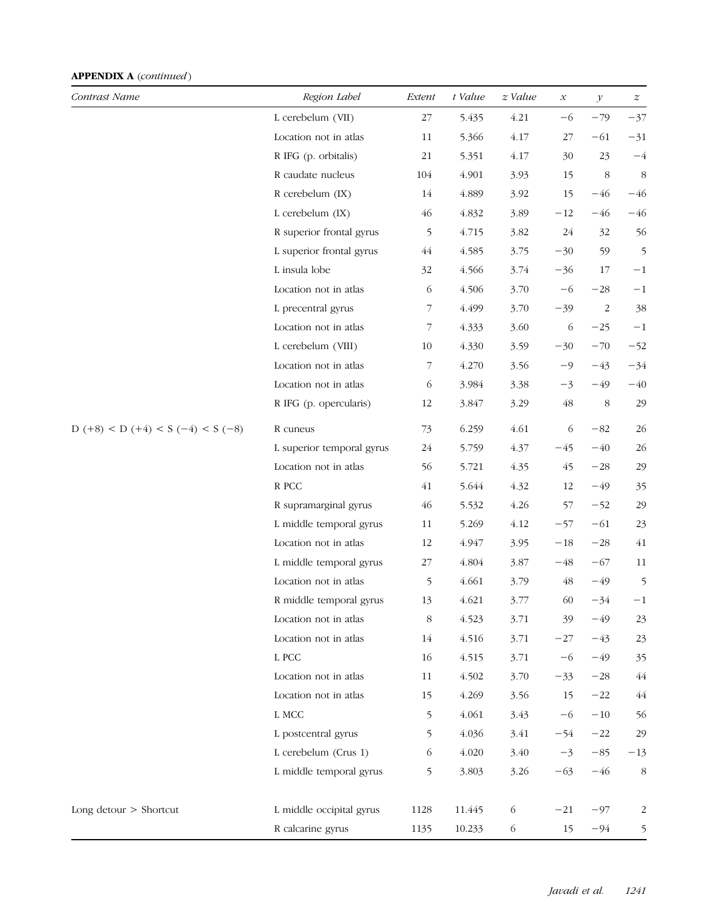| Contrast Name                       | Region Label                        | Extent         | t Value | $z$ Value | $\boldsymbol{\mathcal{X}}$ | $\mathcal Y$ | $\boldsymbol{z}$ |
|-------------------------------------|-------------------------------------|----------------|---------|-----------|----------------------------|--------------|------------------|
|                                     | L cerebelum (VII)                   | 27             | 5.435   | 4.21      | $-6$                       | $-79$        | $-37$            |
|                                     | Location not in atlas               | 11             | 5.366   | 4.17      | 27                         | $-61$        | $-31$            |
|                                     | R IFG (p. orbitalis)                | 21             | 5.351   | 4.17      | 30                         | 23           | $-4$             |
|                                     | R caudate nucleus                   | 104            | 4.901   | 3.93      | 15                         | 8            | 8                |
|                                     | R cerebelum (IX)                    | 14             | 4.889   | 3.92      | 15                         | $-46$        | $-46$            |
|                                     | L cerebelum (IX)                    | 46             | 4.832   | 3.89      | $-12$                      | $-46$        | $-46$            |
|                                     | R superior frontal gyrus            | 5              | 4.715   | 3.82      | 24                         | 32           | 56               |
|                                     | L superior frontal gyrus            | 44             | 4.585   | 3.75      | $-30$                      | 59           | 5                |
|                                     | L insula lobe                       | 32             | 4.566   | 3.74      | $-36$                      | 17           | $-1$             |
|                                     | Location not in atlas               | 6              | 4.506   | 3.70      | $-6$                       | $-28$        | $-1$             |
|                                     | L precentral gyrus                  | $\overline{7}$ | 4.499   | 3.70      | $-39$                      | 2            | 38               |
|                                     | Location not in atlas               | 7              | 4.333   | 3.60      | 6                          | $-25$        | $-1$             |
|                                     | L cerebelum (VIII)                  | 10             | 4.330   | 3.59      | $-30$                      | $-70$        | $-52$            |
|                                     | Location not in atlas               | $\overline{7}$ | 4.270   | 3.56      | $-9$                       | $-43$        | $-34$            |
|                                     | Location not in atlas               | 6              | 3.984   | 3.38      | $-3$                       | $-49$        | $-40$            |
|                                     | R IFG (p. opercularis)              | 12             | 3.847   | 3.29      | 48                         | 8            | 29               |
| $D (+8) < D (+4) < S (-4) < S (-8)$ | R cuneus                            | 73             | 6.259   | 4.61      | 6                          | $-82$        | 26               |
|                                     | L superior temporal gyrus           | 24             | 5.759   | 4.37      | $-45$                      | $-40$        | 26               |
|                                     | Location not in atlas               | 56             | 5.721   | 4.35      | 45                         | $-28$        | 29               |
|                                     | R PCC                               | 41             | 5.644   | 4.32      | 12                         | $-49$        | 35               |
|                                     | R supramarginal gyrus               | 46             | 5.532   | 4.26      | 57                         | $-52$        | 29               |
|                                     | L middle temporal gyrus             | 11             | 5.269   | 4.12      | $-57$                      | $-61$        | 23               |
|                                     | Location not in atlas               | 12             | 4.947   | 3.95      | $-18$                      | $-28$        | 41               |
|                                     | L middle temporal gyrus             | $27\,$         | 4.804   | 3.87      | $-48$                      | $-67$        | 11               |
|                                     | Location not in atlas               | 5              | 4.661   | 3.79      | 48                         | $-49$        | 5                |
|                                     | R middle temporal gyrus             | 13             | 4.621   | 3.77      | 60                         | $-34$        | $^{-1}$          |
|                                     | Location not in atlas               | 8              | 4.523   | 3.71      | 39                         | $-49$        | 23               |
|                                     | Location not in atlas               | 14             | 4.516   | 3.71      | $-27$                      | $-43$        | 23               |
|                                     | $\mathrel{\mathop{\mathsf{L}}}$ PCC | 16             | 4.515   | 3.71      | $-6$                       | $-49$        | 35               |
|                                     | Location not in atlas               | 11             | 4.502   | 3.70      | $-33$                      | $-28$        | 44               |
|                                     | Location not in atlas               | 15             | 4.269   | 3.56      | 15                         | $-22$        | 44               |
|                                     | L MCC                               | 5              | 4.061   | 3.43      | $-6$                       | $-10$        | 56               |
|                                     | L postcentral gyrus                 | 5              | 4.036   | 3.41      | $-54$                      | $-22$        | 29               |
|                                     | L cerebelum (Crus 1)                | 6              | 4.020   | 3.40      | $-3$                       | $-85$        | $-13$            |
|                                     | L middle temporal gyrus             | 5              | 3.803   | 3.26      | $-63$                      | $-46$        | 8                |
| Long detour $>$ Shortcut            | L middle occipital gyrus            | 1128           | 11.445  | 6         | $-21$                      | $-97$        | 2                |
|                                     | R calcarine gyrus                   | 1135           | 10.233  | 6         | 15                         | $-94$        | 5                |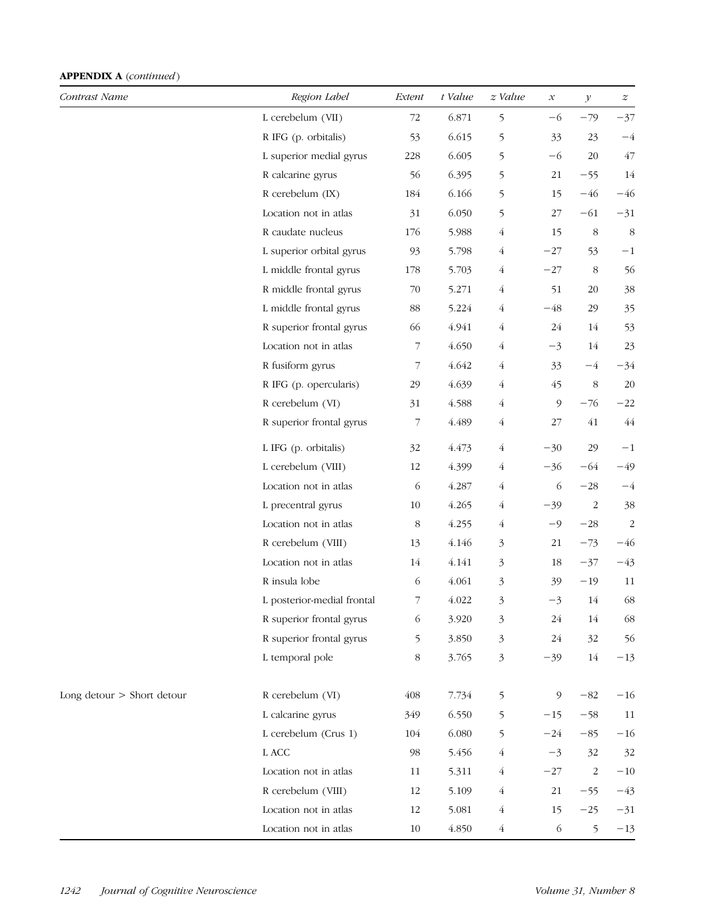| Contrast Name                | Region Label               | Extent                   | t Value | $z$ Value      | $\mathcal{X}% _{0}=\mathcal{X}_{0}=\mathcal{X}_{0}=\mathcal{X}_{1}=\mathcal{X}_{1}=\mathcal{X}_{2}=\mathcal{X}_{1}=\mathcal{X}_{2}=\mathcal{X}_{3}=\mathcal{X}_{4}=\mathcal{X}_{5}=\mathcal{X}_{6}=\mathcal{X}_{7}=\mathcal{X}_{8}=\mathcal{X}_{9}=\mathcal{X}_{1}=\mathcal{X}_{1}=\mathcal{X}_{1}=\mathcal{X}_{2}=\mathcal{X}_{3}=\mathcal{X}_{4}=\mathcal{X}_{5}=\mathcal{X}_{6}=\mathcal{X}_{7}=\mathcal{X}_{8}=\mathcal{X}_{9}=\mathcal{X}_{1}=\math$ | $\mathcal Y$   | $\boldsymbol{z}$        |
|------------------------------|----------------------------|--------------------------|---------|----------------|-----------------------------------------------------------------------------------------------------------------------------------------------------------------------------------------------------------------------------------------------------------------------------------------------------------------------------------------------------------------------------------------------------------------------------------------------------------|----------------|-------------------------|
|                              | L cerebelum (VII)          | 72                       | 6.871   | 5              | $-6$                                                                                                                                                                                                                                                                                                                                                                                                                                                      | $-79$          | $-37$                   |
|                              | R IFG (p. orbitalis)       | 53                       | 6.615   | 5              | 33                                                                                                                                                                                                                                                                                                                                                                                                                                                        | 23             | $-4$                    |
|                              | L superior medial gyrus    | 228                      | 6.605   | 5              | $-6$                                                                                                                                                                                                                                                                                                                                                                                                                                                      | 20             | 47                      |
|                              | R calcarine gyrus          | 56                       | 6.395   | 5              | 21                                                                                                                                                                                                                                                                                                                                                                                                                                                        | $-55$          | 14                      |
|                              | R cerebelum (IX)           | 184                      | 6.166   | 5              | 15                                                                                                                                                                                                                                                                                                                                                                                                                                                        | $-46$          | $-46$                   |
|                              | Location not in atlas      | 31                       | 6.050   | 5              | 27                                                                                                                                                                                                                                                                                                                                                                                                                                                        | $-61$          | $-31$                   |
|                              | R caudate nucleus          | 176                      | 5.988   | $\overline{4}$ | 15                                                                                                                                                                                                                                                                                                                                                                                                                                                        | $\,8\,$        | 8                       |
|                              | L superior orbital gyrus   | 93                       | 5.798   | $\overline{4}$ | $-27$                                                                                                                                                                                                                                                                                                                                                                                                                                                     | 53             | $-1$                    |
|                              | L middle frontal gyrus     | 178                      | 5.703   | $\overline{4}$ | $-27$                                                                                                                                                                                                                                                                                                                                                                                                                                                     | $\,8\,$        | 56                      |
|                              | R middle frontal gyrus     | 70                       | 5.271   | $\overline{4}$ | 51                                                                                                                                                                                                                                                                                                                                                                                                                                                        | 20             | 38                      |
|                              | L middle frontal gyrus     | 88                       | 5.224   | $\overline{4}$ | $-48$                                                                                                                                                                                                                                                                                                                                                                                                                                                     | 29             | 35                      |
|                              | R superior frontal gyrus   | 66                       | 4.941   | $\overline{4}$ | 24                                                                                                                                                                                                                                                                                                                                                                                                                                                        | 14             | 53                      |
|                              | Location not in atlas      | 7                        | 4.650   | $\overline{4}$ | $-3$                                                                                                                                                                                                                                                                                                                                                                                                                                                      | $14\,$         | 23                      |
|                              | R fusiform gyrus           | 7                        | 4.642   | $\overline{4}$ | 33                                                                                                                                                                                                                                                                                                                                                                                                                                                        | $-4$           | $-34$                   |
|                              | R IFG (p. opercularis)     | 29                       | 4.639   | $\overline{4}$ | 45                                                                                                                                                                                                                                                                                                                                                                                                                                                        | 8              | 20                      |
|                              | R cerebelum (VI)           | 31                       | 4.588   | $\overline{4}$ | 9                                                                                                                                                                                                                                                                                                                                                                                                                                                         | $-76$          | $-22$                   |
|                              | R superior frontal gyrus   | 7                        | 4.489   | $\overline{4}$ | 27                                                                                                                                                                                                                                                                                                                                                                                                                                                        | 41             | 44                      |
|                              | L IFG (p. orbitalis)       | 32                       | 4.473   | $\overline{4}$ | $-30$                                                                                                                                                                                                                                                                                                                                                                                                                                                     | 29             | $-1$                    |
|                              | L cerebelum (VIII)         | 12                       | 4.399   | 4              | $-36$                                                                                                                                                                                                                                                                                                                                                                                                                                                     | $-64$          | $-49$                   |
|                              | Location not in atlas      | 6                        | 4.287   | $\overline{4}$ | 6                                                                                                                                                                                                                                                                                                                                                                                                                                                         | $-28$          | $-4$                    |
|                              | L precentral gyrus         | 10                       | 4.265   | $\overline{4}$ | $-39$                                                                                                                                                                                                                                                                                                                                                                                                                                                     | $\overline{2}$ | 38                      |
|                              | Location not in atlas      | 8                        | 4.255   | $\overline{4}$ | $-9$                                                                                                                                                                                                                                                                                                                                                                                                                                                      | $-28$          | $\overline{\mathbf{c}}$ |
|                              | R cerebelum (VIII)         | 13                       | 4.146   | 3              | $21\,$                                                                                                                                                                                                                                                                                                                                                                                                                                                    | $-73$          | $-46$                   |
|                              | Location not in atlas      | 14                       | 4.141   | 3              | 18                                                                                                                                                                                                                                                                                                                                                                                                                                                        | $-37$          | $-43$                   |
|                              | R insula lobe              | 6                        | 4.061   | 3              | 39                                                                                                                                                                                                                                                                                                                                                                                                                                                        | $-19$          | 11                      |
|                              | L posterior-medial frontal | $\overline{\phantom{a}}$ | 4.022   | 3              | $-3$                                                                                                                                                                                                                                                                                                                                                                                                                                                      | 14             | 68                      |
|                              | R superior frontal gyrus   | 6                        | 3.920   | 3              | 24                                                                                                                                                                                                                                                                                                                                                                                                                                                        | 14             | 68                      |
|                              | R superior frontal gyrus   | 5                        | 3.850   | 3              | 24                                                                                                                                                                                                                                                                                                                                                                                                                                                        | 32             | 56                      |
|                              | L temporal pole            | 8                        | 3.765   | $\mathfrak{Z}$ | $-39$                                                                                                                                                                                                                                                                                                                                                                                                                                                     | $14\,$         | $-13$                   |
| Long detour $>$ Short detour | R cerebelum (VI)           | 408                      | 7.734   | 5              | 9                                                                                                                                                                                                                                                                                                                                                                                                                                                         | $-82$          | $-16$                   |
|                              | L calcarine gyrus          | 349                      | 6.550   | 5              | $-15$                                                                                                                                                                                                                                                                                                                                                                                                                                                     | $-58$          | 11                      |
|                              | L cerebelum (Crus 1)       | 104                      | 6.080   | 5              | $-24$                                                                                                                                                                                                                                                                                                                                                                                                                                                     | $-85$          | $-16$                   |
|                              | ${\rm L}$ ACC              | 98                       | 5.456   | 4              | $-3$                                                                                                                                                                                                                                                                                                                                                                                                                                                      | 32             | 32                      |
|                              | Location not in atlas      | 11                       | 5.311   | $\overline{4}$ | $-27$                                                                                                                                                                                                                                                                                                                                                                                                                                                     | $\sqrt{2}$     | $-10$                   |
|                              | R cerebelum (VIII)         | 12                       | 5.109   | 4              | $21\,$                                                                                                                                                                                                                                                                                                                                                                                                                                                    | $-55$          | $-43$                   |
|                              | Location not in atlas      | 12                       | 5.081   | $\overline{4}$ | 15                                                                                                                                                                                                                                                                                                                                                                                                                                                        | $-25$          | $-31$                   |
|                              | Location not in atlas      | 10                       | 4.850   | $\overline{4}$ | 6                                                                                                                                                                                                                                                                                                                                                                                                                                                         | 5              | $-13$                   |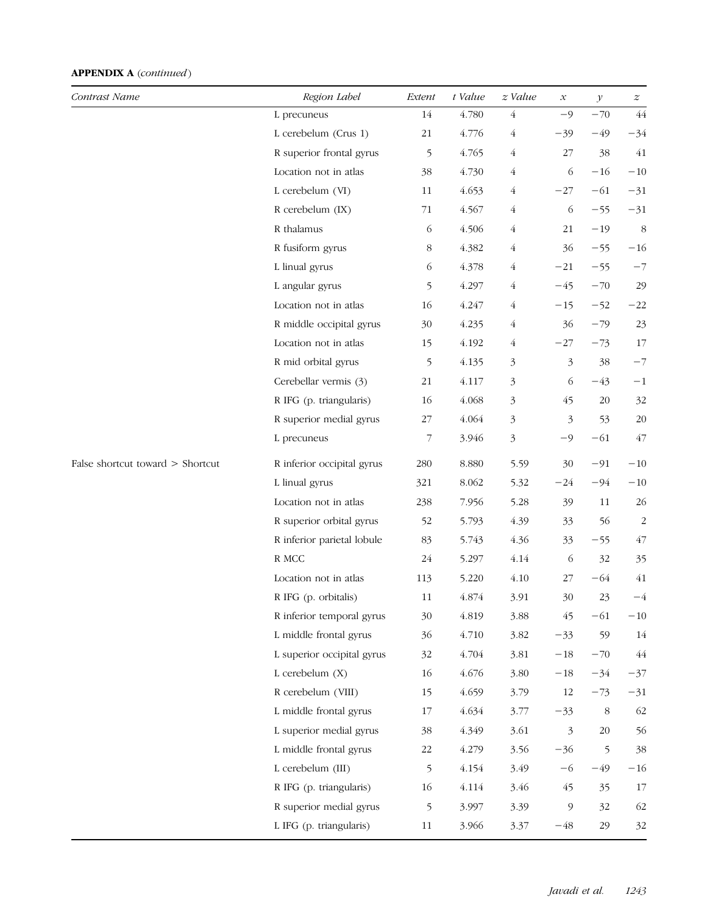| Contrast Name                    | Region Label               | Extent | t Value | z Value        | $\boldsymbol{\mathcal{X}}$ | $\mathcal Y$ | $\boldsymbol{z}$ |
|----------------------------------|----------------------------|--------|---------|----------------|----------------------------|--------------|------------------|
|                                  | L precuneus                | 14     | 4.780   | $\overline{4}$ | $-9$                       | $-70$        | 44               |
|                                  | L cerebelum (Crus 1)       | 21     | 4.776   | $\sqrt{4}$     | $-39$                      | -49          | $-34$            |
|                                  | R superior frontal gyrus   | 5      | 4.765   | $\overline{4}$ | 27                         | 38           | $41\,$           |
|                                  | Location not in atlas      | 38     | 4.730   | $\overline{4}$ | 6                          | $-16$        | $-10$            |
|                                  | L cerebelum (VI)           | 11     | 4.653   | 4              | $-27$                      | $-61$        | $-31$            |
|                                  | R cerebelum (IX)           | 71     | 4.567   | $\overline{4}$ | 6                          | $-55$        | $-31$            |
|                                  | R thalamus                 | 6      | 4.506   | 4              | 21                         | $-19$        | 8                |
|                                  | R fusiform gyrus           | 8      | 4.382   | $\overline{4}$ | 36                         | $-55$        | $-16$            |
|                                  | L linual gyrus             | 6      | 4.378   | $\overline{4}$ | $-21$                      | $-55$        | $-7$             |
|                                  | L angular gyrus            | 5      | 4.297   | $\overline{4}$ | $-45$                      | $-70$        | 29               |
|                                  | Location not in atlas      | 16     | 4.247   | $\overline{4}$ | $-15$                      | $-52$        | $-22$            |
|                                  | R middle occipital gyrus   | 30     | 4.235   | $\overline{4}$ | 36                         | $-79$        | 23               |
|                                  | Location not in atlas      | 15     | 4.192   | 4              | $-27$                      | $-73$        | 17               |
|                                  | R mid orbital gyrus        | 5      | 4.135   | 3              | $\mathfrak{Z}$             | 38           | $-7$             |
|                                  | Cerebellar vermis (3)      | 21     | 4.117   | 3              | 6                          | $-43$        | $-1$             |
|                                  | R IFG (p. triangularis)    | 16     | 4.068   | 3              | 45                         | 20           | 32               |
|                                  | R superior medial gyrus    | 27     | 4.064   | 3              | 3                          | 53           | 20               |
|                                  | L precuneus                | 7      | 3.946   | $\mathfrak{Z}$ | $-9$                       | $-61$        | $47\,$           |
| False shortcut toward > Shortcut | R inferior occipital gyrus | 280    | 8.880   | 5.59           | 30                         | $-91$        | $-10$            |
|                                  | L linual gyrus             | 321    | 8.062   | 5.32           | $-24$                      | $-94$        | $-10$            |
|                                  | Location not in atlas      | 238    | 7.956   | 5.28           | 39                         | 11           | 26               |
|                                  | R superior orbital gyrus   | 52     | 5.793   | 4.39           | 33                         | 56           | $\overline{c}$   |
|                                  | R inferior parietal lobule | 83     | 5.743   | 4.36           | 33                         | $-55$        | 47               |
|                                  | R MCC                      | 24     | 5.297   | 4.14           | 6                          | 32           | 35               |
|                                  | Location not in atlas      | 113    | 5.220   | 4.10           | 27                         | $-64$        | 41               |
|                                  | R IFG (p. orbitalis)       | 11     | 4.874   | 3.91           | 30                         | 23           | $-4$             |
|                                  | R inferior temporal gyrus  | 30     | 4.819   | 3.88           | 45                         | $-61$        | $-10\,$          |
|                                  | L middle frontal gyrus     | 36     | 4.710   | 3.82           | $-33$                      | 59           | 14               |
|                                  | L superior occipital gyrus | 32     | 4.704   | 3.81           | $-18\,$                    | $-70$        | $44$             |
|                                  | L cerebelum $(X)$          | 16     | 4.676   | 3.80           | $-18$                      | $-34$        | $-37$            |
|                                  | R cerebelum (VIII)         | 15     | 4.659   | 3.79           | $12\,$                     | $-73$        | $-31$            |
|                                  | L middle frontal gyrus     | 17     | 4.634   | 3.77           | $-33$                      | $\,8\,$      | 62               |
|                                  | L superior medial gyrus    | 38     | 4.349   | 3.61           | $\mathfrak{Z}$             | 20           | 56               |
|                                  | L middle frontal gyrus     | $22\,$ | 4.279   | 3.56           | $-36$                      | 5            | 38               |
|                                  | L cerebelum (III)          | 5      | 4.154   | 3.49           | $-6$                       | $-49$        | $-16$            |
|                                  | R IFG (p. triangularis)    | 16     | 4.114   | 3.46           | 45                         | 35           | 17               |
|                                  | R superior medial gyrus    | 5      | 3.997   | 3.39           | 9                          | 32           | 62               |
|                                  | L IFG (p. triangularis)    | 11     | 3.966   | 3.37           | $-48$                      | 29           | 32               |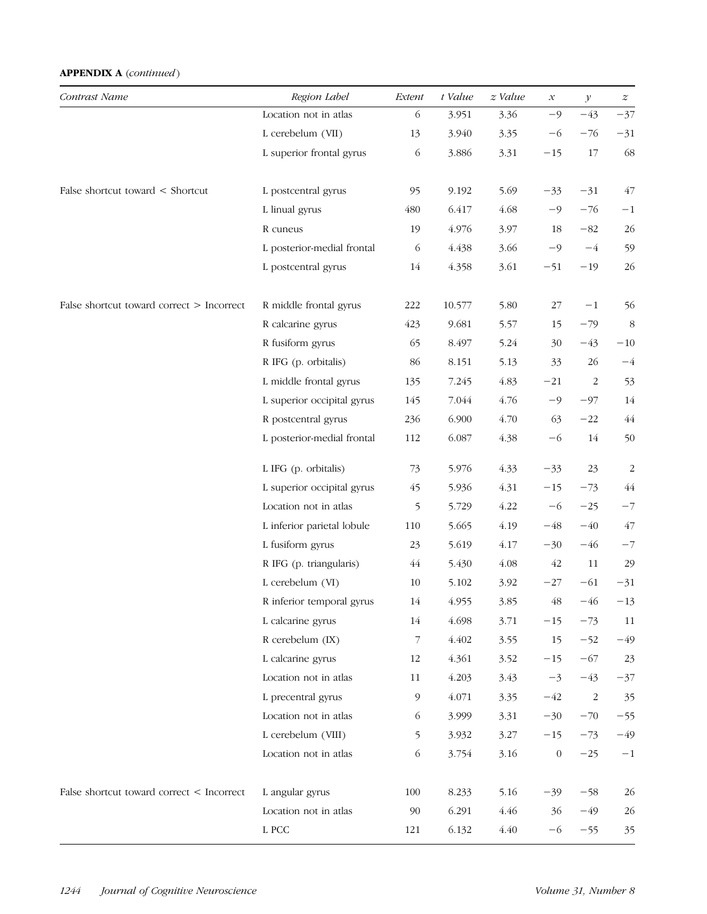| Contrast Name                             | Region Label               | Extent | t Value | $z$ Value | $\mathcal{X}% _{0}=\mathcal{X}_{0}=\mathcal{X}_{0}=\mathcal{X}_{1}=\mathcal{X}_{1}=\mathcal{X}_{2}=\mathcal{X}_{1}=\mathcal{X}_{2}=\mathcal{X}_{3}=\mathcal{X}_{4}=\mathcal{X}_{5}=\mathcal{X}_{6}=\mathcal{X}_{7}=\mathcal{X}_{8}=\mathcal{X}_{9}=\mathcal{X}_{1}=\mathcal{X}_{1}=\mathcal{X}_{1}=\mathcal{X}_{2}=\mathcal{X}_{3}=\mathcal{X}_{4}=\mathcal{X}_{5}=\mathcal{X}_{6}=\mathcal{X}_{7}=\mathcal{X}_{8}=\mathcal{X}_{9}=\mathcal{X}_{1}=\math$ | $\mathcal Y$   | $\boldsymbol{z}$ |
|-------------------------------------------|----------------------------|--------|---------|-----------|-----------------------------------------------------------------------------------------------------------------------------------------------------------------------------------------------------------------------------------------------------------------------------------------------------------------------------------------------------------------------------------------------------------------------------------------------------------|----------------|------------------|
|                                           | Location not in atlas      | 6      | 3.951   | 3.36      | $-9$                                                                                                                                                                                                                                                                                                                                                                                                                                                      | $-43$          | $-37$            |
|                                           | L cerebelum (VII)          | 13     | 3.940   | 3.35      | -6                                                                                                                                                                                                                                                                                                                                                                                                                                                        | $-76$          | $-31$            |
|                                           | L superior frontal gyrus   | 6      | 3.886   | 3.31      | $-15$                                                                                                                                                                                                                                                                                                                                                                                                                                                     | 17             | 68               |
| False shortcut toward < Shortcut          | L postcentral gyrus        | 95     | 9.192   | 5.69      | $-33$                                                                                                                                                                                                                                                                                                                                                                                                                                                     | $-31$          | 47               |
|                                           | L linual gyrus             | 480    | 6.417   | 4.68      | $-9$                                                                                                                                                                                                                                                                                                                                                                                                                                                      | $-76$          | $-1$             |
|                                           | R cuneus                   | 19     | 4.976   | 3.97      | 18                                                                                                                                                                                                                                                                                                                                                                                                                                                        | $-82$          | 26               |
|                                           | L posterior-medial frontal | 6      | 4.438   | 3.66      | $-9$                                                                                                                                                                                                                                                                                                                                                                                                                                                      | $-4$           | 59               |
|                                           | L postcentral gyrus        | 14     | 4.358   | 3.61      | $-51$                                                                                                                                                                                                                                                                                                                                                                                                                                                     | $-19$          | 26               |
| False shortcut toward correct > Incorrect | R middle frontal gyrus     | 222    | 10.577  | 5.80      | 27                                                                                                                                                                                                                                                                                                                                                                                                                                                        | $^{-1}$        | 56               |
|                                           | R calcarine gyrus          | 423    | 9.681   | 5.57      | 15                                                                                                                                                                                                                                                                                                                                                                                                                                                        | $-79$          | 8                |
|                                           | R fusiform gyrus           | 65     | 8.497   | 5.24      | 30                                                                                                                                                                                                                                                                                                                                                                                                                                                        | $-43$          | $-10\,$          |
|                                           | R IFG (p. orbitalis)       | 86     | 8.151   | 5.13      | 33                                                                                                                                                                                                                                                                                                                                                                                                                                                        | 26             | $-4\,$           |
|                                           | L middle frontal gyrus     | 135    | 7.245   | 4.83      | $-21$                                                                                                                                                                                                                                                                                                                                                                                                                                                     | $\overline{2}$ | 53               |
|                                           | L superior occipital gyrus | 145    | 7.044   | 4.76      | $-9$                                                                                                                                                                                                                                                                                                                                                                                                                                                      | $-97$          | 14               |
|                                           | R postcentral gyrus        | 236    | 6.900   | 4.70      | 63                                                                                                                                                                                                                                                                                                                                                                                                                                                        | $-22$          | $\sqrt{44}$      |
|                                           | L posterior-medial frontal | 112    | 6.087   | 4.38      | $-6$                                                                                                                                                                                                                                                                                                                                                                                                                                                      | 14             | 50               |
|                                           | L IFG (p. orbitalis)       | 73     | 5.976   | 4.33      | $-33$                                                                                                                                                                                                                                                                                                                                                                                                                                                     | 23             | $\overline{c}$   |
|                                           | L superior occipital gyrus | 45     | 5.936   | 4.31      | $-15$                                                                                                                                                                                                                                                                                                                                                                                                                                                     | $-73$          | $\sqrt{44}$      |
|                                           | Location not in atlas      | 5      | 5.729   | 4.22      | $-6$                                                                                                                                                                                                                                                                                                                                                                                                                                                      | $-25$          | $-7$             |
|                                           | L inferior parietal lobule | 110    | 5.665   | 4.19      | $-48$                                                                                                                                                                                                                                                                                                                                                                                                                                                     | $-40$          | 47               |
|                                           | L fusiform gyrus           | 23     | 5.619   | 4.17      | $-30$                                                                                                                                                                                                                                                                                                                                                                                                                                                     | $-46$          | $-7$             |
|                                           | R IFG (p. triangularis)    | 44     | 5.430   | 4.08      | 42                                                                                                                                                                                                                                                                                                                                                                                                                                                        | 11             | 29               |
|                                           | L cerebelum (VI)           | 10     | 5.102   | 3.92      | $-27$                                                                                                                                                                                                                                                                                                                                                                                                                                                     | $-61$          | $-31$            |
|                                           | R inferior temporal gyrus  | 14     | 4.955   | 3.85      | 48                                                                                                                                                                                                                                                                                                                                                                                                                                                        | $-46$          | $-13$            |
|                                           | L calcarine gyrus          | 14     | 4.698   | 3.71      | $-15$                                                                                                                                                                                                                                                                                                                                                                                                                                                     | $-73$          | 11               |
|                                           | R cerebelum (IX)           | 7      | 4.402   | 3.55      | 15                                                                                                                                                                                                                                                                                                                                                                                                                                                        | $-52$          | $-49$            |
|                                           | L calcarine gyrus          | 12     | 4.361   | 3.52      | $-15$                                                                                                                                                                                                                                                                                                                                                                                                                                                     | $-67$          | 23               |
|                                           | Location not in atlas      | 11     | 4.203   | 3.43      | $-3$                                                                                                                                                                                                                                                                                                                                                                                                                                                      | $-43$          | $-37$            |
|                                           | L precentral gyrus         | 9      | 4.071   | 3.35      | $-42$                                                                                                                                                                                                                                                                                                                                                                                                                                                     | 2              | 35               |
|                                           | Location not in atlas      | 6      | 3.999   | 3.31      | $-30$                                                                                                                                                                                                                                                                                                                                                                                                                                                     | $-70$          | $-55$            |
|                                           | L cerebelum (VIII)         | 5      | 3.932   | 3.27      | $-15$                                                                                                                                                                                                                                                                                                                                                                                                                                                     | $-73$          | $-49$            |
|                                           | Location not in atlas      | 6      | 3.754   | 3.16      | $\boldsymbol{0}$                                                                                                                                                                                                                                                                                                                                                                                                                                          | $-25$          | $-1\,$           |
| False shortcut toward correct < Incorrect | L angular gyrus            | 100    | 8.233   | 5.16      | $-39$                                                                                                                                                                                                                                                                                                                                                                                                                                                     | $-58$          | 26               |
|                                           | Location not in atlas      | 90     | 6.291   | 4.46      | 36                                                                                                                                                                                                                                                                                                                                                                                                                                                        | $-49$          | $26\,$           |
|                                           | L PCC                      | 121    | 6.132   | 4.40      | $-6$                                                                                                                                                                                                                                                                                                                                                                                                                                                      | $-55$          | 35               |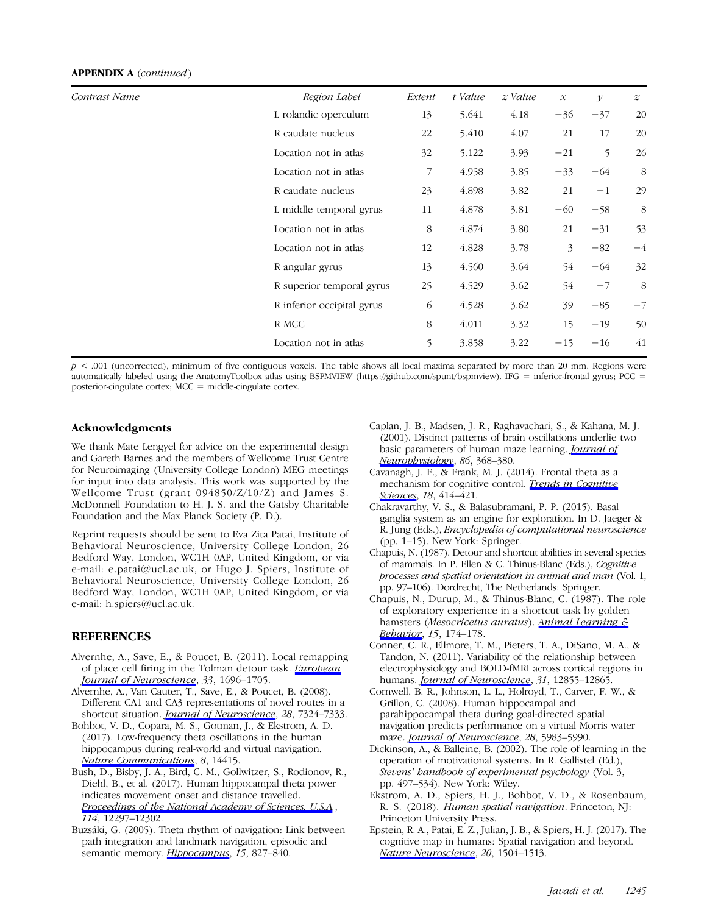| Contrast Name | Region Label               | Extent | t Value | z Value | $\mathcal{X}$ | $\mathcal{Y}$ | $\boldsymbol{z}$ |
|---------------|----------------------------|--------|---------|---------|---------------|---------------|------------------|
|               | L rolandic operculum       | 13     | 5.641   | 4.18    | $-36$         | $-37$         | 20               |
|               | R caudate nucleus          | 22     | 5.410   | 4.07    | 21            | 17            | 20               |
|               | Location not in atlas      | 32     | 5.122   | 3.93    | $-21$         | 5             | 26               |
|               | Location not in atlas      | 7      | 4.958   | 3.85    | $-33$         | $-64$         | 8                |
|               | R caudate nucleus          | 23     | 4.898   | 3.82    | 21            | $-1$          | 29               |
|               | L middle temporal gyrus    | 11     | 4.878   | 3.81    | $-60$         | $-58$         | 8                |
|               | Location not in atlas      | 8      | 4.874   | 3.80    | 21            | $-31$         | 53               |
|               | Location not in atlas      | 12     | 4.828   | 3.78    | 3             | $-82$         | $-4$             |
|               | R angular gyrus            | 13     | 4.560   | 3.64    | 54            | $-64$         | 32               |
|               | R superior temporal gyrus  | 25     | 4.529   | 3.62    | 54            | $-7$          | 8                |
|               | R inferior occipital gyrus | 6      | 4.528   | 3.62    | 39            | $-85$         | $-7$             |
|               | R MCC                      | 8      | 4.011   | 3.32    | 15            | $-19$         | 50               |
|               | Location not in atlas      | 5      | 3.858   | 3.22    | $-15$         | $-16$         | 41               |

 $p < .001$  (uncorrected), minimum of five contiguous voxels. The table shows all local maxima separated by more than 20 mm. Regions were automatically labeled using the AnatomyToolbox atlas using BSPMVIEW (https://github.com/spunt/bspmview). IFG = inferior-frontal gyrus; PCC = posterior-cingulate cortex; MCC = middle-cingulate cortex.

#### Acknowledgments

We thank Mate Lengyel for advice on the experimental design and Gareth Barnes and the members of Wellcome Trust Centre for Neuroimaging (University College London) MEG meetings for input into data analysis. This work was supported by the Wellcome Trust (grant 094850/Z/10/Z) and James S. McDonnell Foundation to H. J. S. and the Gatsby Charitable Foundation and the Max Planck Society (P. D.).

Reprint requests should be sent to Eva Zita Patai, Institute of Behavioral Neuroscience, University College London, 26 Bedford Way, London, WC1H 0AP, United Kingdom, or via e-mail: e.patai@ucl.ac.uk, or Hugo J. Spiers, Institute of Behavioral Neuroscience, University College London, 26 Bedford Way, London, WC1H 0AP, United Kingdom, or via e-mail: h.spiers@ucl.ac.uk.

#### **REFERENCES**

- Alvernhe, A., Save, E., & Poucet, B. (2011). Local remapping of place cell firing in the Tolman detour task. [European](https://www.mitpressjournals.org/action/showLinks?doi=10.1162%2Fjocn_a_01414&crossref=10.1111%2Fj.1460-9568.2011.07653.x&citationId=p_1) [Journal of Neuroscience](https://www.mitpressjournals.org/action/showLinks?doi=10.1162%2Fjocn_a_01414&crossref=10.1111%2Fj.1460-9568.2011.07653.x&citationId=p_1), 33, 1696-1705.
- Alvernhe, A., Van Cauter, T., Save, E., & Poucet, B. (2008). Different CA1 and CA3 representations of novel routes in a shortcut situation. *[Journal of Neuroscience](https://www.mitpressjournals.org/action/showLinks?doi=10.1162%2Fjocn_a_01414&crossref=10.1523%2FJNEUROSCI.1909-08.2008&citationId=p_2)*, 28, 7324–7333.
- Bohbot, V. D., Copara, M. S., Gotman, J., & Ekstrom, A. D. (2017). Low-frequency theta oscillations in the human hippocampus during real-world and virtual navigation. [Nature Communications](https://www.mitpressjournals.org/action/showLinks?doi=10.1162%2Fjocn_a_01414&crossref=10.1038%2Fncomms14415&citationId=p_3), 8, 14415.
- Bush, D., Bisby, J. A., Bird, C. M., Gollwitzer, S., Rodionov, R., Diehl, B., et al. (2017). Human hippocampal theta power indicates movement onset and distance travelled. [Proceedings of the National Academy of Sciences, U.S.A](https://www.mitpressjournals.org/action/showLinks?doi=10.1162%2Fjocn_a_01414&crossref=10.1073%2Fpnas.1708716114&citationId=p_4)., 114, 12297–12302.
- Buzsáki, G. (2005). Theta rhythm of navigation: Link between path integration and landmark navigation, episodic and semantic memory. [Hippocampus](https://www.mitpressjournals.org/action/showLinks?doi=10.1162%2Fjocn_a_01414&crossref=10.1002%2Fhipo.20113&citationId=p_5), 15, 827-840.
- Caplan, J. B., Madsen, J. R., Raghavachari, S., & Kahana, M. J. (2001). Distinct patterns of brain oscillations underlie two basic parameters of human maze learning. [Journal of](https://www.mitpressjournals.org/action/showLinks?doi=10.1162%2Fjocn_a_01414&crossref=10.1152%2Fjn.2001.86.1.368&citationId=p_6) [Neurophysiology](https://www.mitpressjournals.org/action/showLinks?doi=10.1162%2Fjocn_a_01414&crossref=10.1152%2Fjn.2001.86.1.368&citationId=p_6), 86, 368–380.
- Cavanagh, J. F., & Frank, M. J. (2014). Frontal theta as a mechanism for cognitive control. *[Trends in Cognitive](https://www.mitpressjournals.org/action/showLinks?doi=10.1162%2Fjocn_a_01414&crossref=10.1016%2Fj.tics.2014.04.012&citationId=p_7)* [Sciences](https://www.mitpressjournals.org/action/showLinks?doi=10.1162%2Fjocn_a_01414&crossref=10.1016%2Fj.tics.2014.04.012&citationId=p_7), 18, 414-421.
- Chakravarthy, V. S., & Balasubramani, P. P. (2015). Basal ganglia system as an engine for exploration. In D. Jaeger & R. Jung (Eds.), Encyclopedia of computational neuroscience (pp. 1–15). New York: Springer.
- Chapuis, N. (1987). Detour and shortcut abilities in several species of mammals. In P. Ellen & C. Thinus-Blanc (Eds.), Cognitive processes and spatial orientation in animal and man (Vol. 1, pp. 97–106). Dordrecht, The Netherlands: Springer.
- Chapuis, N., Durup, M., & Thinus-Blanc, C. (1987). The role of exploratory experience in a shortcut task by golden hamsters (Mesocricetus auratus). [Animal Learning &](https://www.mitpressjournals.org/action/showLinks?doi=10.1162%2Fjocn_a_01414&crossref=10.3758%2FBF03204960&citationId=p_10) [Behavior](https://www.mitpressjournals.org/action/showLinks?doi=10.1162%2Fjocn_a_01414&crossref=10.3758%2FBF03204960&citationId=p_10), 15, 174–178.
- Conner, C. R., Ellmore, T. M., Pieters, T. A., DiSano, M. A., & Tandon, N. (2011). Variability of the relationship between electrophysiology and BOLD-fMRI across cortical regions in humans. *[Journal of Neuroscience](https://www.mitpressjournals.org/action/showLinks?doi=10.1162%2Fjocn_a_01414&crossref=10.1523%2FJNEUROSCI.1457-11.2011&citationId=p_11)*, 31, 12855-12865.
- Cornwell, B. R., Johnson, L. L., Holroyd, T., Carver, F. W., & Grillon, C. (2008). Human hippocampal and parahippocampal theta during goal-directed spatial navigation predicts performance on a virtual Morris water maze. *[Journal of Neuroscience](https://www.mitpressjournals.org/action/showLinks?doi=10.1162%2Fjocn_a_01414&crossref=10.1523%2FJNEUROSCI.5001-07.2008&citationId=p_12)*, 28, 5983-5990.
- Dickinson, A., & Balleine, B. (2002). The role of learning in the operation of motivational systems. In R. Gallistel (Ed.), Stevens' handbook of experimental psychology (Vol. 3, pp. 497–534). New York: Wiley.
- Ekstrom, A. D., Spiers, H. J., Bohbot, V. D., & Rosenbaum, R. S. (2018). Human spatial navigation. Princeton, NJ: Princeton University Press.
- Epstein, R. A., Patai, E. Z., Julian, J. B., & Spiers, H. J. (2017). The cognitive map in humans: Spatial navigation and beyond. [Nature Neuroscience](https://www.mitpressjournals.org/action/showLinks?doi=10.1162%2Fjocn_a_01414&crossref=10.1038%2Fnn.4656&citationId=p_15), 20, 1504–1513.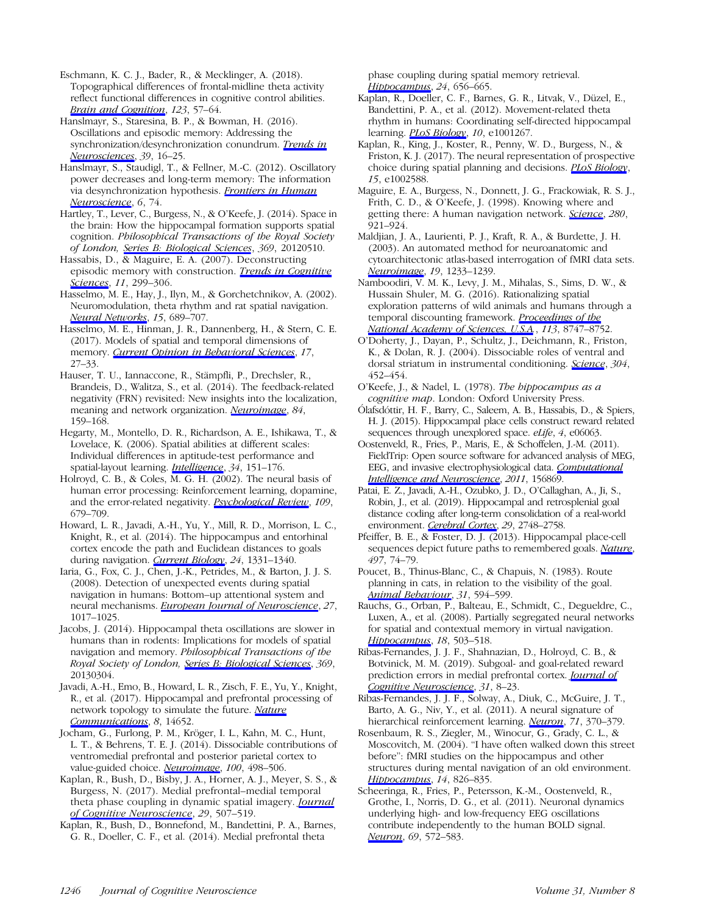Eschmann, K. C. J., Bader, R., & Mecklinger, A. (2018). Topographical differences of frontal-midline theta activity reflect functional differences in cognitive control abilities. [Brain and Cognition](https://www.mitpressjournals.org/action/showLinks?doi=10.1162%2Fjocn_a_01414&crossref=10.1016%2Fj.bandc.2018.02.002&citationId=p_16), 123, 57-64.

Hanslmayr, S., Staresina, B. P., & Bowman, H. (2016). Oscillations and episodic memory: Addressing the synchronization/desynchronization conundrum. [Trends in](https://www.mitpressjournals.org/action/showLinks?doi=10.1162%2Fjocn_a_01414&crossref=10.1016%2Fj.tins.2015.11.004&citationId=p_17) [Neurosciences](https://www.mitpressjournals.org/action/showLinks?doi=10.1162%2Fjocn_a_01414&crossref=10.1016%2Fj.tins.2015.11.004&citationId=p_17), 39, 16-25.

Hanslmayr, S., Staudigl, T., & Fellner, M.-C. (2012). Oscillatory power decreases and long-term memory: The information via desynchronization hypothesis. *[Frontiers in Human](https://www.mitpressjournals.org/action/showLinks?doi=10.1162%2Fjocn_a_01414&crossref=10.3389%2Ffnhum.2012.00074&citationId=p_18)* [Neuroscience](https://www.mitpressjournals.org/action/showLinks?doi=10.1162%2Fjocn_a_01414&crossref=10.3389%2Ffnhum.2012.00074&citationId=p_18), 6, 74.

Hartley, T., Lever, C., Burgess, N., & O'Keefe, J. (2014). Space in the brain: How the hippocampal formation supports spatial cognition. Philosophical Transactions of the Royal Society of London, [Series B: Biological Sciences](https://www.mitpressjournals.org/action/showLinks?doi=10.1162%2Fjocn_a_01414&crossref=10.1098%2Frstb.2012.0510&citationId=p_19), 369, 20120510.

Hassabis, D., & Maguire, E. A. (2007). Deconstructing episodic memory with construction. *[Trends in Cognitive](https://www.mitpressjournals.org/action/showLinks?doi=10.1162%2Fjocn_a_01414&crossref=10.1016%2Fj.tics.2007.05.001&citationId=p_20)* [Sciences](https://www.mitpressjournals.org/action/showLinks?doi=10.1162%2Fjocn_a_01414&crossref=10.1016%2Fj.tics.2007.05.001&citationId=p_20), 11, 299-306.

Hasselmo, M. E., Hay, J., Ilyn, M., & Gorchetchnikov, A. (2002). Neuromodulation, theta rhythm and rat spatial navigation. [Neural Networks](https://www.mitpressjournals.org/action/showLinks?doi=10.1162%2Fjocn_a_01414&crossref=10.1016%2FS0893-6080%2802%2900057-6&citationId=p_21), 15, 689–707.

Hasselmo, M. E., Hinman, J. R., Dannenberg, H., & Stern, C. E. (2017). Models of spatial and temporal dimensions of memory. *[Current Opinion in Behavioral Sciences](https://www.mitpressjournals.org/action/showLinks?doi=10.1162%2Fjocn_a_01414&crossref=10.1016%2Fj.cobeha.2017.05.024&citationId=p_22)*, 17, 27–33.

Hauser, T. U., Iannaccone, R., Stämpfli, P., Drechsler, R., Brandeis, D., Walitza, S., et al. (2014). The feedback-related negativity (FRN) revisited: New insights into the localization, meaning and network organization. *[Neuroimage](https://www.mitpressjournals.org/action/showLinks?doi=10.1162%2Fjocn_a_01414&crossref=10.1016%2Fj.neuroimage.2013.08.028&citationId=p_23)*, 84, 159–168.

Hegarty, M., Montello, D. R., Richardson, A. E., Ishikawa, T., & Lovelace, K. (2006). Spatial abilities at different scales: Individual differences in aptitude-test performance and spatial-layout learning. *[Intelligence](https://www.mitpressjournals.org/action/showLinks?doi=10.1162%2Fjocn_a_01414&crossref=10.1016%2Fj.intell.2005.09.005&citationId=p_24)*, 34, 151-176.

Holroyd, C. B., & Coles, M. G. H. (2002). The neural basis of human error processing: Reinforcement learning, dopamine, and the error-related negativity. [Psychological Review](https://www.mitpressjournals.org/action/showLinks?doi=10.1162%2Fjocn_a_01414&crossref=10.1037%2F0033-295X.109.4.679&citationId=p_25), 109, 679–709.

Howard, L. R., Javadi, A.-H., Yu, Y., Mill, R. D., Morrison, L. C., Knight, R., et al. (2014). The hippocampus and entorhinal cortex encode the path and Euclidean distances to goals during navigation. [Current Biology](https://www.mitpressjournals.org/action/showLinks?doi=10.1162%2Fjocn_a_01414&crossref=10.1016%2Fj.cub.2014.05.001&citationId=p_26), 24, 1331-1340.

Iaria, G., Fox, C. J., Chen, J.-K., Petrides, M., & Barton, J. J. S. (2008). Detection of unexpected events during spatial navigation in humans: Bottom–up attentional system and neural mechanisms. *[European Journal of Neuroscience](https://www.mitpressjournals.org/action/showLinks?doi=10.1162%2Fjocn_a_01414&crossref=10.1111%2Fj.1460-9568.2008.06060.x&citationId=p_27)*, 27, 1017–1025.

Jacobs, J. (2014). Hippocampal theta oscillations are slower in humans than in rodents: Implications for models of spatial navigation and memory. Philosophical Transactions of the Royal Society of London, [Series B: Biological Sciences](https://www.mitpressjournals.org/action/showLinks?doi=10.1162%2Fjocn_a_01414&crossref=10.1098%2Frstb.2013.0304&citationId=p_28), 369, 20130304.

Javadi, A.-H., Emo, B., Howard, L. R., Zisch, F. E., Yu, Y., Knight, R., et al. (2017). Hippocampal and prefrontal processing of network topology to simulate the future. [Nature](https://www.mitpressjournals.org/action/showLinks?doi=10.1162%2Fjocn_a_01414&crossref=10.1038%2Fncomms14652&citationId=p_29) [Communications](https://www.mitpressjournals.org/action/showLinks?doi=10.1162%2Fjocn_a_01414&crossref=10.1038%2Fncomms14652&citationId=p_29), 8, 14652.

Jocham, G., Furlong, P. M., Kröger, I. L., Kahn, M. C., Hunt, L. T., & Behrens, T. E. J. (2014). Dissociable contributions of ventromedial prefrontal and posterior parietal cortex to value-guided choice. *[Neuroimage](https://www.mitpressjournals.org/action/showLinks?doi=10.1162%2Fjocn_a_01414&crossref=10.1016%2Fj.neuroimage.2014.06.005&citationId=p_30)*, 100, 498-506.

Kaplan, R., Bush, D., Bisby, J. A., Horner, A. J., Meyer, S. S., & Burgess, N. (2017). Medial prefrontal–medial temporal theta phase coupling in dynamic spatial imagery. *[Journal](https://www.mitpressjournals.org/action/showLinks?doi=10.1162%2Fjocn_a_01414&system=10.1162%2Fjocn_a_01064&citationId=p_31)* [of Cognitive Neuroscience](https://www.mitpressjournals.org/action/showLinks?doi=10.1162%2Fjocn_a_01414&system=10.1162%2Fjocn_a_01064&citationId=p_31), 29, 507-519.

Kaplan, R., Bush, D., Bonnefond, M., Bandettini, P. A., Barnes, G. R., Doeller, C. F., et al. (2014). Medial prefrontal theta

phase coupling during spatial memory retrieval. [Hippocampus](https://www.mitpressjournals.org/action/showLinks?doi=10.1162%2Fjocn_a_01414&crossref=10.1002%2Fhipo.22255&citationId=p_32), 24, 656–665.

Kaplan, R., Doeller, C. F., Barnes, G. R., Litvak, V., Düzel, E., Bandettini, P. A., et al. (2012). Movement-related theta rhythm in humans: Coordinating self-directed hippocampal learning. *[PLoS Biology](https://www.mitpressjournals.org/action/showLinks?doi=10.1162%2Fjocn_a_01414&crossref=10.1371%2Fjournal.pbio.1001267&citationId=p_33)*, 10, e1001267.

Kaplan, R., King, J., Koster, R., Penny, W. D., Burgess, N., & Friston, K. J. (2017). The neural representation of prospective choice during spatial planning and decisions. [PLoS Biology](https://www.mitpressjournals.org/action/showLinks?doi=10.1162%2Fjocn_a_01414&crossref=10.1371%2Fjournal.pbio.1002588&citationId=p_34), 15, e1002588.

Maguire, E. A., Burgess, N., Donnett, J. G., Frackowiak, R. S. J., Frith, C. D., & O'Keefe, J. (1998). Knowing where and getting there: A human navigation network. [Science](https://www.mitpressjournals.org/action/showLinks?doi=10.1162%2Fjocn_a_01414&crossref=10.1126%2Fscience.280.5365.921&citationId=p_35), 280, 921–924.

Maldjian, J. A., Laurienti, P. J., Kraft, R. A., & Burdette, J. H. (2003). An automated method for neuroanatomic and cytoarchitectonic atlas-based interrogation of fMRI data sets. [Neuroimage](https://www.mitpressjournals.org/action/showLinks?doi=10.1162%2Fjocn_a_01414&crossref=10.1016%2FS1053-8119%2803%2900169-1&citationId=p_36), 19, 1233–1239.

Namboodiri, V. M. K., Levy, J. M., Mihalas, S., Sims, D. W., & Hussain Shuler, M. G. (2016). Rationalizing spatial exploration patterns of wild animals and humans through a temporal discounting framework. [Proceedings of the](https://www.mitpressjournals.org/action/showLinks?doi=10.1162%2Fjocn_a_01414&crossref=10.1073%2Fpnas.1601664113&citationId=p_37) [National Academy of Sciences, U.S.A.](https://www.mitpressjournals.org/action/showLinks?doi=10.1162%2Fjocn_a_01414&crossref=10.1073%2Fpnas.1601664113&citationId=p_37), 113, 8747–8752.

O'Doherty, J., Dayan, P., Schultz, J., Deichmann, R., Friston, K., & Dolan, R. J. (2004). Dissociable roles of ventral and dorsal striatum in instrumental conditioning. *[Science](https://www.mitpressjournals.org/action/showLinks?doi=10.1162%2Fjocn_a_01414&crossref=10.1126%2Fscience.1094285&citationId=p_38)*, 304, 452–454.

O'Keefe, J., & Nadel, L. (1978). The hippocampus as a cognitive map. London: Oxford University Press.

Ólafsdóttir, H. F., Barry, C., Saleem, A. B., Hassabis, D., & Spiers, H. J. (2015). Hippocampal place cells construct reward related sequences through unexplored space. eLife, 4, e06063.

Oostenveld, R., Fries, P., Maris, E., & Schoffelen, J.-M. (2011). FieldTrip: Open source software for advanced analysis of MEG, EEG, and invasive electrophysiological data. [Computational](https://www.mitpressjournals.org/action/showLinks?doi=10.1162%2Fjocn_a_01414&crossref=10.1155%2F2011%2F156869&citationId=p_41) [Intelligence and Neuroscience](https://www.mitpressjournals.org/action/showLinks?doi=10.1162%2Fjocn_a_01414&crossref=10.1155%2F2011%2F156869&citationId=p_41), 2011, 156869.

Patai, E. Z., Javadi, A.-H., Ozubko, J. D., O'Callaghan, A., Ji, S., Robin, J., et al. (2019). Hippocampal and retrosplenial goal distance coding after long-term consolidation of a real-world environment. [Cerebral Cortex](https://www.mitpressjournals.org/action/showLinks?doi=10.1162%2Fjocn_a_01414&crossref=10.1093%2Fcercor%2Fbhz044&citationId=p_42), 29, 2748-2758.

Pfeiffer, B. E., & Foster, D. J. (2013). Hippocampal place-cell sequences depict future paths to remembered goals. [Nature](https://www.mitpressjournals.org/action/showLinks?doi=10.1162%2Fjocn_a_01414&crossref=10.1038%2Fnature12112&citationId=p_43), 497, 74–79.

Poucet, B., Thinus-Blanc, C., & Chapuis, N. (1983). Route planning in cats, in relation to the visibility of the goal. [Animal Behaviour](https://www.mitpressjournals.org/action/showLinks?doi=10.1162%2Fjocn_a_01414&crossref=10.1016%2FS0003-3472%2883%2980083-9&citationId=p_44), 31, 594-599.

Rauchs, G., Orban, P., Balteau, E., Schmidt, C., Degueldre, C., Luxen, A., et al. (2008). Partially segregated neural networks for spatial and contextual memory in virtual navigation. [Hippocampus](https://www.mitpressjournals.org/action/showLinks?doi=10.1162%2Fjocn_a_01414&crossref=10.1002%2Fhipo.20411&citationId=p_45), 18, 503-518.

Ribas-Fernandes, J. J. F., Shahnazian, D., Holroyd, C. B., & Botvinick, M. M. (2019). Subgoal- and goal-related reward prediction errors in medial prefrontal cortex. *[Journal of](https://www.mitpressjournals.org/action/showLinks?doi=10.1162%2Fjocn_a_01414&system=10.1162%2Fjocn_a_01341&citationId=p_46)* [Cognitive Neuroscience](https://www.mitpressjournals.org/action/showLinks?doi=10.1162%2Fjocn_a_01414&system=10.1162%2Fjocn_a_01341&citationId=p_46), 31, 8-23.

Ribas-Fernandes, J. J. F., Solway, A., Diuk, C., McGuire, J. T., Barto, A. G., Niv, Y., et al. (2011). A neural signature of hierarchical reinforcement learning. [Neuron](https://www.mitpressjournals.org/action/showLinks?doi=10.1162%2Fjocn_a_01414&crossref=10.1016%2Fj.neuron.2011.05.042&citationId=p_47), 71, 370-379.

Rosenbaum, R. S., Ziegler, M., Winocur, G., Grady, C. L., & Moscovitch, M. (2004). "I have often walked down this street before": fMRI studies on the hippocampus and other structures during mental navigation of an old environment. [Hippocampus](https://www.mitpressjournals.org/action/showLinks?doi=10.1162%2Fjocn_a_01414&crossref=10.1002%2Fhipo.10218&citationId=p_48), 14, 826-835.

Scheeringa, R., Fries, P., Petersson, K.-M., Oostenveld, R., Grothe, I., Norris, D. G., et al. (2011). Neuronal dynamics underlying high- and low-frequency EEG oscillations contribute independently to the human BOLD signal. [Neuron](https://www.mitpressjournals.org/action/showLinks?doi=10.1162%2Fjocn_a_01414&crossref=10.1016%2Fj.neuron.2010.11.044&citationId=p_49), 69, 572-583.